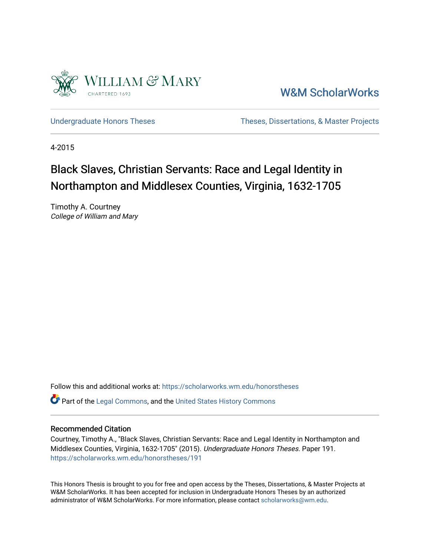

[W&M ScholarWorks](https://scholarworks.wm.edu/) 

[Undergraduate Honors Theses](https://scholarworks.wm.edu/honorstheses) Theses Theses, Dissertations, & Master Projects

4-2015

# Black Slaves, Christian Servants: Race and Legal Identity in Northampton and Middlesex Counties, Virginia, 1632-1705

Timothy A. Courtney College of William and Mary

Follow this and additional works at: [https://scholarworks.wm.edu/honorstheses](https://scholarworks.wm.edu/honorstheses?utm_source=scholarworks.wm.edu%2Fhonorstheses%2F191&utm_medium=PDF&utm_campaign=PDFCoverPages) 

Part of the [Legal Commons,](http://network.bepress.com/hgg/discipline/502?utm_source=scholarworks.wm.edu%2Fhonorstheses%2F191&utm_medium=PDF&utm_campaign=PDFCoverPages) and the [United States History Commons](http://network.bepress.com/hgg/discipline/495?utm_source=scholarworks.wm.edu%2Fhonorstheses%2F191&utm_medium=PDF&utm_campaign=PDFCoverPages)

#### Recommended Citation

Courtney, Timothy A., "Black Slaves, Christian Servants: Race and Legal Identity in Northampton and Middlesex Counties, Virginia, 1632-1705" (2015). Undergraduate Honors Theses. Paper 191. [https://scholarworks.wm.edu/honorstheses/191](https://scholarworks.wm.edu/honorstheses/191?utm_source=scholarworks.wm.edu%2Fhonorstheses%2F191&utm_medium=PDF&utm_campaign=PDFCoverPages) 

This Honors Thesis is brought to you for free and open access by the Theses, Dissertations, & Master Projects at W&M ScholarWorks. It has been accepted for inclusion in Undergraduate Honors Theses by an authorized administrator of W&M ScholarWorks. For more information, please contact [scholarworks@wm.edu.](mailto:scholarworks@wm.edu)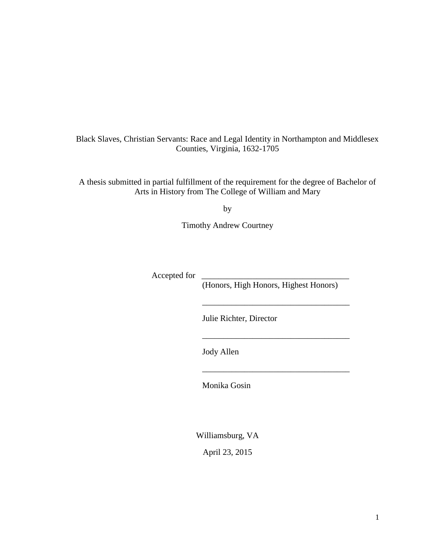Black Slaves, Christian Servants: Race and Legal Identity in Northampton and Middlesex Counties, Virginia, 1632-1705

A thesis submitted in partial fulfillment of the requirement for the degree of Bachelor of Arts in History from The College of William and Mary

by

Timothy Andrew Courtney

Accepted for

(Honors, High Honors, Highest Honors)

\_\_\_\_\_\_\_\_\_\_\_\_\_\_\_\_\_\_\_\_\_\_\_\_\_\_\_\_\_\_\_\_\_\_\_

\_\_\_\_\_\_\_\_\_\_\_\_\_\_\_\_\_\_\_\_\_\_\_\_\_\_\_\_\_\_\_\_\_\_\_

\_\_\_\_\_\_\_\_\_\_\_\_\_\_\_\_\_\_\_\_\_\_\_\_\_\_\_\_\_\_\_\_\_\_\_

Julie Richter, Director

Jody Allen

Monika Gosin

Williamsburg, VA

April 23, 2015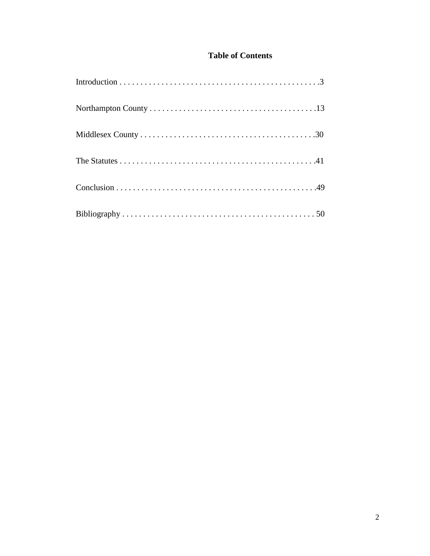# **Table of Contents**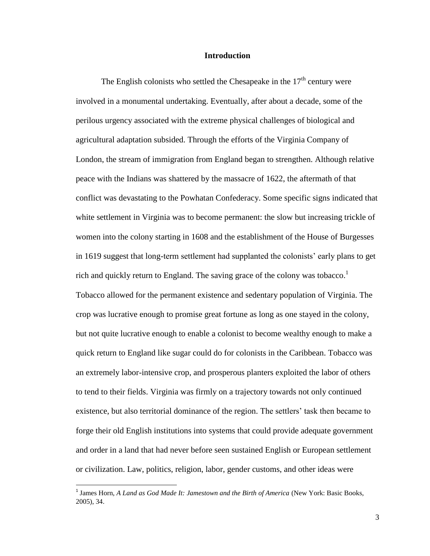#### **Introduction**

The English colonists who settled the Chesapeake in the  $17<sup>th</sup>$  century were involved in a monumental undertaking. Eventually, after about a decade, some of the perilous urgency associated with the extreme physical challenges of biological and agricultural adaptation subsided. Through the efforts of the Virginia Company of London, the stream of immigration from England began to strengthen. Although relative peace with the Indians was shattered by the massacre of 1622, the aftermath of that conflict was devastating to the Powhatan Confederacy. Some specific signs indicated that white settlement in Virginia was to become permanent: the slow but increasing trickle of women into the colony starting in 1608 and the establishment of the House of Burgesses in 1619 suggest that long-term settlement had supplanted the colonists' early plans to get rich and quickly return to England. The saving grace of the colony was tobacco.<sup>1</sup> Tobacco allowed for the permanent existence and sedentary population of Virginia. The crop was lucrative enough to promise great fortune as long as one stayed in the colony, but not quite lucrative enough to enable a colonist to become wealthy enough to make a quick return to England like sugar could do for colonists in the Caribbean. Tobacco was an extremely labor-intensive crop, and prosperous planters exploited the labor of others to tend to their fields. Virginia was firmly on a trajectory towards not only continued existence, but also territorial dominance of the region. The settlers' task then became to forge their old English institutions into systems that could provide adequate government and order in a land that had never before seen sustained English or European settlement or civilization. Law, politics, religion, labor, gender customs, and other ideas were

<sup>&</sup>lt;sup>1</sup> James Horn, *A Land as God Made It: Jamestown and the Birth of America* (New York: Basic Books, 2005), 34.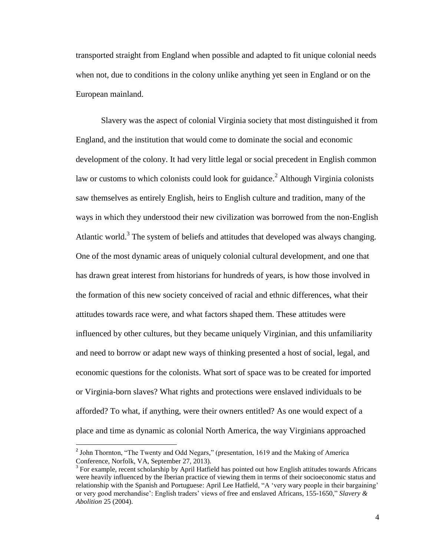transported straight from England when possible and adapted to fit unique colonial needs when not, due to conditions in the colony unlike anything yet seen in England or on the European mainland.

Slavery was the aspect of colonial Virginia society that most distinguished it from England, and the institution that would come to dominate the social and economic development of the colony. It had very little legal or social precedent in English common law or customs to which colonists could look for guidance.<sup>2</sup> Although Virginia colonists saw themselves as entirely English, heirs to English culture and tradition, many of the ways in which they understood their new civilization was borrowed from the non-English Atlantic world.<sup>3</sup> The system of beliefs and attitudes that developed was always changing. One of the most dynamic areas of uniquely colonial cultural development, and one that has drawn great interest from historians for hundreds of years, is how those involved in the formation of this new society conceived of racial and ethnic differences, what their attitudes towards race were, and what factors shaped them. These attitudes were influenced by other cultures, but they became uniquely Virginian, and this unfamiliarity and need to borrow or adapt new ways of thinking presented a host of social, legal, and economic questions for the colonists. What sort of space was to be created for imported or Virginia-born slaves? What rights and protections were enslaved individuals to be afforded? To what, if anything, were their owners entitled? As one would expect of a place and time as dynamic as colonial North America, the way Virginians approached

<sup>&</sup>lt;sup>2</sup> John Thornton, "The Twenty and Odd Negars," (presentation, 1619 and the Making of America Conference, Norfolk, VA, September 27, 2013).

<sup>&</sup>lt;sup>3</sup> For example, recent scholarship by April Hatfield has pointed out how English attitudes towards Africans were heavily influenced by the Iberian practice of viewing them in terms of their socioeconomic status and relationship with the Spanish and Portuguese: April Lee Hatfield, "A 'very wary people in their bargaining' or very good merchandise': English traders' views of free and enslaved Africans, 155-1650," *Slavery & Abolition* 25 (2004).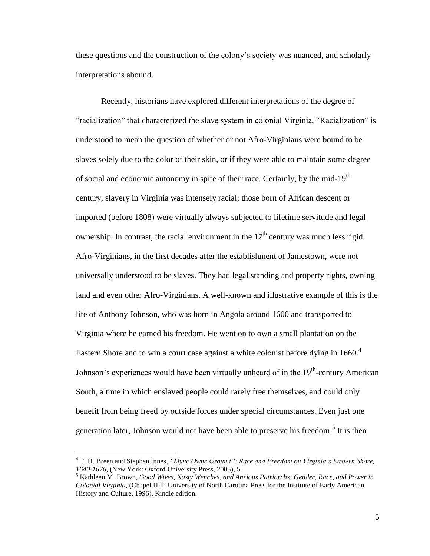these questions and the construction of the colony's society was nuanced, and scholarly interpretations abound.

Recently, historians have explored different interpretations of the degree of "racialization" that characterized the slave system in colonial Virginia. "Racialization" is understood to mean the question of whether or not Afro-Virginians were bound to be slaves solely due to the color of their skin, or if they were able to maintain some degree of social and economic autonomy in spite of their race. Certainly, by the mid-19<sup>th</sup> century, slavery in Virginia was intensely racial; those born of African descent or imported (before 1808) were virtually always subjected to lifetime servitude and legal ownership. In contrast, the racial environment in the  $17<sup>th</sup>$  century was much less rigid. Afro-Virginians, in the first decades after the establishment of Jamestown, were not universally understood to be slaves. They had legal standing and property rights, owning land and even other Afro-Virginians. A well-known and illustrative example of this is the life of Anthony Johnson, who was born in Angola around 1600 and transported to Virginia where he earned his freedom. He went on to own a small plantation on the Eastern Shore and to win a court case against a white colonist before dying in  $1660<sup>4</sup>$ Johnson's experiences would have been virtually unheard of in the  $19<sup>th</sup>$ -century American South, a time in which enslaved people could rarely free themselves, and could only benefit from being freed by outside forces under special circumstances. Even just one generation later, Johnson would not have been able to preserve his freedom.<sup>5</sup> It is then

l

<sup>4</sup> T. H. Breen and Stephen Innes, *"Myne Owne Ground": Race and Freedom on Virginia's Eastern Shore, 1640-1676*, (New York: Oxford University Press, 2005), 5.

<sup>5</sup> Kathleen M. Brown, *Good Wives, Nasty Wenches, and Anxious Patriarchs: Gender, Race, and Power in Colonial Virginia*, (Chapel Hill: University of North Carolina Press for the Institute of Early American History and Culture, 1996), Kindle edition.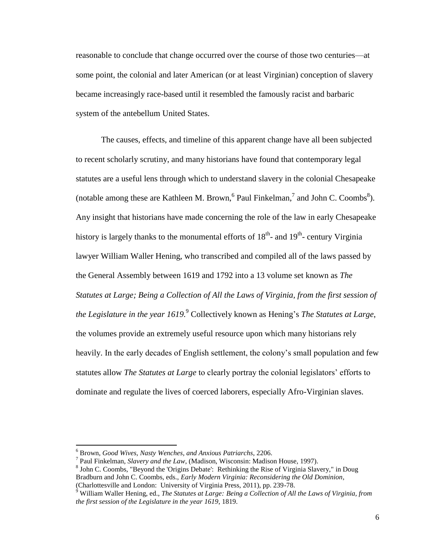reasonable to conclude that change occurred over the course of those two centuries—at some point, the colonial and later American (or at least Virginian) conception of slavery became increasingly race-based until it resembled the famously racist and barbaric system of the antebellum United States.

The causes, effects, and timeline of this apparent change have all been subjected to recent scholarly scrutiny, and many historians have found that contemporary legal statutes are a useful lens through which to understand slavery in the colonial Chesapeake (notable among these are Kathleen M. Brown,  $6$  Paul Finkelman,  $7$  and John C. Coombs $8$ ). Any insight that historians have made concerning the role of the law in early Chesapeake history is largely thanks to the monumental efforts of  $18<sup>th</sup>$ - and  $19<sup>th</sup>$ - century Virginia lawyer William Waller Hening, who transcribed and compiled all of the laws passed by the General Assembly between 1619 and 1792 into a 13 volume set known as *The Statutes at Large; Being a Collection of All the Laws of Virginia, from the first session of the Legislature in the year 1619.* <sup>9</sup> Collectively known as Hening's *The Statutes at Large*, the volumes provide an extremely useful resource upon which many historians rely heavily. In the early decades of English settlement, the colony's small population and few statutes allow *The Statutes at Large* to clearly portray the colonial legislators' efforts to dominate and regulate the lives of coerced laborers, especially Afro-Virginian slaves.

<sup>6</sup> Brown, *Good Wives, Nasty Wenches, and Anxious Patriarchs*, 2206.

<sup>7</sup> Paul Finkelman, *Slavery and the Law*, (Madison, Wisconsin: Madison House, 1997).

<sup>&</sup>lt;sup>8</sup> John C. Coombs, "Beyond the 'Origins Debate': Rethinking the Rise of Virginia Slavery," in Doug Bradburn and John C. Coombs, eds., *Early Modern Virginia: Reconsidering the Old Dominion*, (Charlottesville and London: University of Virginia Press, 2011), pp. 239-78.

<sup>9</sup> William Waller Hening, ed., *The Statutes at Large: Being a Collection of All the Laws of Virginia, from the first session of the Legislature in the year 1619*, 1819.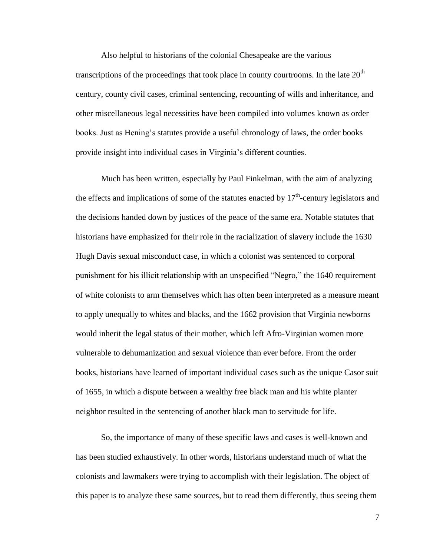Also helpful to historians of the colonial Chesapeake are the various transcriptions of the proceedings that took place in county courtrooms. In the late  $20<sup>th</sup>$ century, county civil cases, criminal sentencing, recounting of wills and inheritance, and other miscellaneous legal necessities have been compiled into volumes known as order books. Just as Hening's statutes provide a useful chronology of laws, the order books provide insight into individual cases in Virginia's different counties.

Much has been written, especially by Paul Finkelman, with the aim of analyzing the effects and implications of some of the statutes enacted by  $17<sup>th</sup>$ -century legislators and the decisions handed down by justices of the peace of the same era. Notable statutes that historians have emphasized for their role in the racialization of slavery include the 1630 Hugh Davis sexual misconduct case, in which a colonist was sentenced to corporal punishment for his illicit relationship with an unspecified "Negro," the 1640 requirement of white colonists to arm themselves which has often been interpreted as a measure meant to apply unequally to whites and blacks, and the 1662 provision that Virginia newborns would inherit the legal status of their mother, which left Afro-Virginian women more vulnerable to dehumanization and sexual violence than ever before. From the order books, historians have learned of important individual cases such as the unique Casor suit of 1655, in which a dispute between a wealthy free black man and his white planter neighbor resulted in the sentencing of another black man to servitude for life.

So, the importance of many of these specific laws and cases is well-known and has been studied exhaustively. In other words, historians understand much of what the colonists and lawmakers were trying to accomplish with their legislation. The object of this paper is to analyze these same sources, but to read them differently, thus seeing them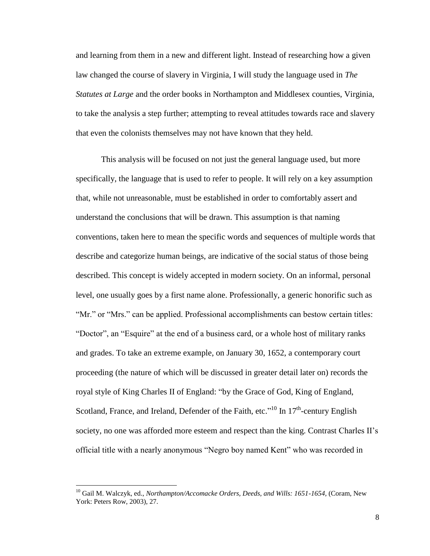and learning from them in a new and different light. Instead of researching how a given law changed the course of slavery in Virginia, I will study the language used in *The Statutes at Large* and the order books in Northampton and Middlesex counties, Virginia, to take the analysis a step further; attempting to reveal attitudes towards race and slavery that even the colonists themselves may not have known that they held.

This analysis will be focused on not just the general language used, but more specifically, the language that is used to refer to people. It will rely on a key assumption that, while not unreasonable, must be established in order to comfortably assert and understand the conclusions that will be drawn. This assumption is that naming conventions, taken here to mean the specific words and sequences of multiple words that describe and categorize human beings, are indicative of the social status of those being described. This concept is widely accepted in modern society. On an informal, personal level, one usually goes by a first name alone. Professionally, a generic honorific such as "Mr." or "Mrs." can be applied. Professional accomplishments can bestow certain titles: "Doctor", an "Esquire" at the end of a business card, or a whole host of military ranks and grades. To take an extreme example, on January 30, 1652, a contemporary court proceeding (the nature of which will be discussed in greater detail later on) records the royal style of King Charles II of England: "by the Grace of God, King of England, Scotland, France, and Ireland, Defender of the Faith, etc."<sup>10</sup> In  $17<sup>th</sup>$ -century English society, no one was afforded more esteem and respect than the king. Contrast Charles II's official title with a nearly anonymous "Negro boy named Kent" who was recorded in

<sup>10</sup> Gail M. Walczyk, ed., *Northampton/Accomacke Orders, Deeds, and Wills: 1651-1654,* (Coram, New York: Peters Row, 2003), 27.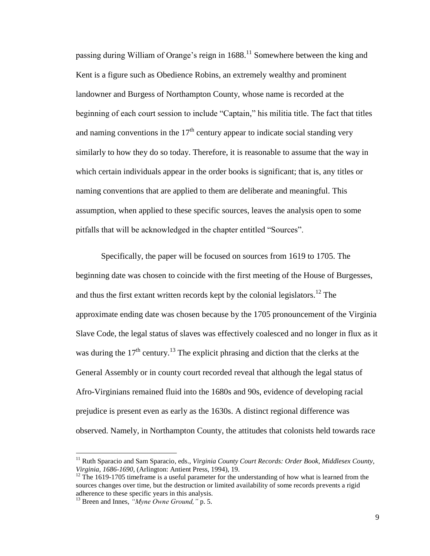passing during William of Orange's reign in 1688.<sup>11</sup> Somewhere between the king and Kent is a figure such as Obedience Robins, an extremely wealthy and prominent landowner and Burgess of Northampton County, whose name is recorded at the beginning of each court session to include "Captain," his militia title. The fact that titles and naming conventions in the  $17<sup>th</sup>$  century appear to indicate social standing very similarly to how they do so today. Therefore, it is reasonable to assume that the way in which certain individuals appear in the order books is significant; that is, any titles or naming conventions that are applied to them are deliberate and meaningful. This assumption, when applied to these specific sources, leaves the analysis open to some pitfalls that will be acknowledged in the chapter entitled "Sources".

Specifically, the paper will be focused on sources from 1619 to 1705. The beginning date was chosen to coincide with the first meeting of the House of Burgesses, and thus the first extant written records kept by the colonial legislators.<sup>12</sup> The approximate ending date was chosen because by the 1705 pronouncement of the Virginia Slave Code, the legal status of slaves was effectively coalesced and no longer in flux as it was during the  $17<sup>th</sup>$  century.<sup>13</sup> The explicit phrasing and diction that the clerks at the General Assembly or in county court recorded reveal that although the legal status of Afro-Virginians remained fluid into the 1680s and 90s, evidence of developing racial prejudice is present even as early as the 1630s. A distinct regional difference was observed. Namely, in Northampton County, the attitudes that colonists held towards race

l

<sup>&</sup>lt;sup>11</sup> Ruth Sparacio and Sam Sparacio, eds., *Virginia County Court Records: Order Book, Middlesex County, Virginia, 1686-1690*, (Arlington: Antient Press, 1994), 19.

 $12$  The 1619-1705 timeframe is a useful parameter for the understanding of how what is learned from the sources changes over time, but the destruction or limited availability of some records prevents a rigid adherence to these specific years in this analysis.

<sup>13</sup> Breen and Innes, *"Myne Owne Ground,"* p. 5.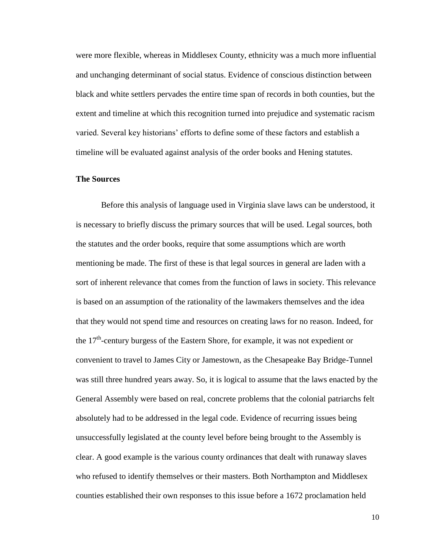were more flexible, whereas in Middlesex County, ethnicity was a much more influential and unchanging determinant of social status. Evidence of conscious distinction between black and white settlers pervades the entire time span of records in both counties, but the extent and timeline at which this recognition turned into prejudice and systematic racism varied. Several key historians' efforts to define some of these factors and establish a timeline will be evaluated against analysis of the order books and Hening statutes.

#### **The Sources**

Before this analysis of language used in Virginia slave laws can be understood, it is necessary to briefly discuss the primary sources that will be used. Legal sources, both the statutes and the order books, require that some assumptions which are worth mentioning be made. The first of these is that legal sources in general are laden with a sort of inherent relevance that comes from the function of laws in society. This relevance is based on an assumption of the rationality of the lawmakers themselves and the idea that they would not spend time and resources on creating laws for no reason. Indeed, for the  $17<sup>th</sup>$ -century burgess of the Eastern Shore, for example, it was not expedient or convenient to travel to James City or Jamestown, as the Chesapeake Bay Bridge-Tunnel was still three hundred years away. So, it is logical to assume that the laws enacted by the General Assembly were based on real, concrete problems that the colonial patriarchs felt absolutely had to be addressed in the legal code. Evidence of recurring issues being unsuccessfully legislated at the county level before being brought to the Assembly is clear. A good example is the various county ordinances that dealt with runaway slaves who refused to identify themselves or their masters. Both Northampton and Middlesex counties established their own responses to this issue before a 1672 proclamation held

10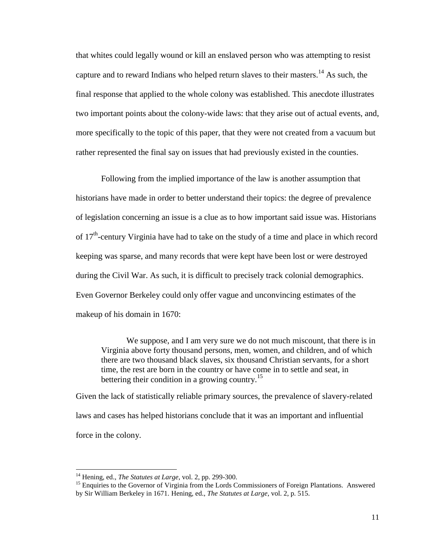that whites could legally wound or kill an enslaved person who was attempting to resist capture and to reward Indians who helped return slaves to their masters.<sup>14</sup> As such, the final response that applied to the whole colony was established. This anecdote illustrates two important points about the colony-wide laws: that they arise out of actual events, and, more specifically to the topic of this paper, that they were not created from a vacuum but rather represented the final say on issues that had previously existed in the counties.

Following from the implied importance of the law is another assumption that historians have made in order to better understand their topics: the degree of prevalence of legislation concerning an issue is a clue as to how important said issue was. Historians of  $17<sup>th</sup>$ -century Virginia have had to take on the study of a time and place in which record keeping was sparse, and many records that were kept have been lost or were destroyed during the Civil War. As such, it is difficult to precisely track colonial demographics. Even Governor Berkeley could only offer vague and unconvincing estimates of the makeup of his domain in 1670:

We suppose, and I am very sure we do not much miscount, that there is in Virginia above forty thousand persons, men, women, and children, and of which there are two thousand black slaves, six thousand Christian servants, for a short time, the rest are born in the country or have come in to settle and seat, in bettering their condition in a growing country.<sup>15</sup>

Given the lack of statistically reliable primary sources, the prevalence of slavery-related laws and cases has helped historians conclude that it was an important and influential force in the colony.

<sup>14</sup> Hening, ed., *The Statutes at Large*, vol. 2, pp. 299-300.

<sup>&</sup>lt;sup>15</sup> Enquiries to the Governor of Virginia from the Lords Commissioners of Foreign Plantations. Answered by Sir William Berkeley in 1671. Hening, ed., *The Statutes at Large*, vol. 2, p. 515.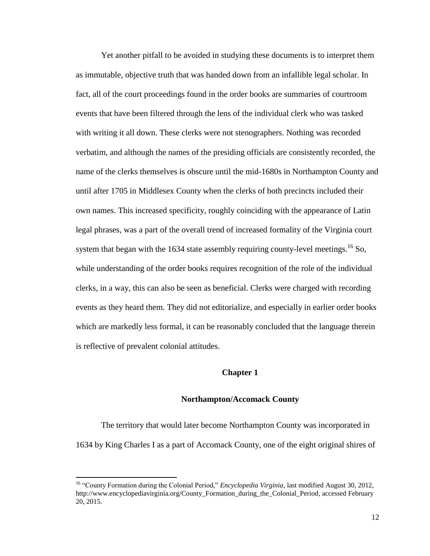Yet another pitfall to be avoided in studying these documents is to interpret them as immutable, objective truth that was handed down from an infallible legal scholar. In fact, all of the court proceedings found in the order books are summaries of courtroom events that have been filtered through the lens of the individual clerk who was tasked with writing it all down. These clerks were not stenographers. Nothing was recorded verbatim, and although the names of the presiding officials are consistently recorded, the name of the clerks themselves is obscure until the mid-1680s in Northampton County and until after 1705 in Middlesex County when the clerks of both precincts included their own names. This increased specificity, roughly coinciding with the appearance of Latin legal phrases, was a part of the overall trend of increased formality of the Virginia court system that began with the 1634 state assembly requiring county-level meetings.<sup>16</sup> So, while understanding of the order books requires recognition of the role of the individual clerks, in a way, this can also be seen as beneficial. Clerks were charged with recording events as they heard them. They did not editorialize, and especially in earlier order books which are markedly less formal, it can be reasonably concluded that the language therein is reflective of prevalent colonial attitudes.

## **Chapter 1**

#### **Northampton/Accomack County**

The territory that would later become Northampton County was incorporated in 1634 by King Charles I as a part of Accomack County, one of the eight original shires of

<sup>&</sup>lt;sup>16</sup> "County Formation during the Colonial Period," *Encyclopedia Virginia*, last modified August 30, 2012, http://www.encyclopediavirginia.org/County\_Formation\_during\_the\_Colonial\_Period, accessed February 20, 2015.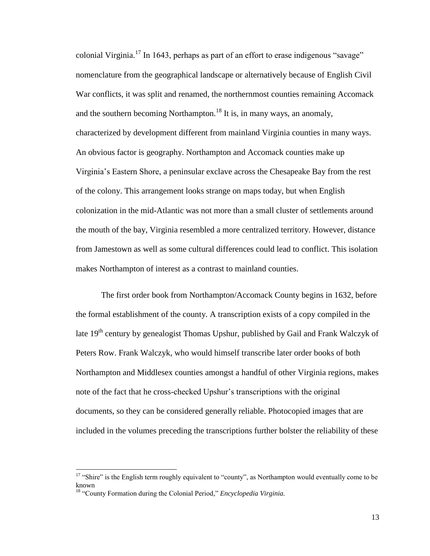colonial Virginia.<sup>17</sup> In 1643, perhaps as part of an effort to erase indigenous "savage" nomenclature from the geographical landscape or alternatively because of English Civil War conflicts, it was split and renamed, the northernmost counties remaining Accomack and the southern becoming Northampton.<sup>18</sup> It is, in many ways, an anomaly, characterized by development different from mainland Virginia counties in many ways. An obvious factor is geography. Northampton and Accomack counties make up Virginia's Eastern Shore, a peninsular exclave across the Chesapeake Bay from the rest of the colony. This arrangement looks strange on maps today, but when English colonization in the mid-Atlantic was not more than a small cluster of settlements around the mouth of the bay, Virginia resembled a more centralized territory. However, distance from Jamestown as well as some cultural differences could lead to conflict. This isolation makes Northampton of interest as a contrast to mainland counties.

The first order book from Northampton/Accomack County begins in 1632, before the formal establishment of the county. A transcription exists of a copy compiled in the late  $19<sup>th</sup>$  century by genealogist Thomas Upshur, published by Gail and Frank Walczyk of Peters Row. Frank Walczyk, who would himself transcribe later order books of both Northampton and Middlesex counties amongst a handful of other Virginia regions, makes note of the fact that he cross-checked Upshur's transcriptions with the original documents, so they can be considered generally reliable. Photocopied images that are included in the volumes preceding the transcriptions further bolster the reliability of these

 $17$  "Shire" is the English term roughly equivalent to "county", as Northampton would eventually come to be known

<sup>18</sup> "County Formation during the Colonial Period," *Encyclopedia Virginia.*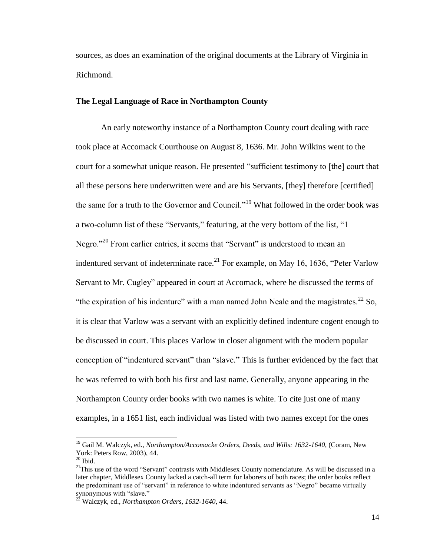sources, as does an examination of the original documents at the Library of Virginia in Richmond.

#### **The Legal Language of Race in Northampton County**

An early noteworthy instance of a Northampton County court dealing with race took place at Accomack Courthouse on August 8, 1636. Mr. John Wilkins went to the court for a somewhat unique reason. He presented "sufficient testimony to [the] court that all these persons here underwritten were and are his Servants, [they] therefore [certified] the same for a truth to the Governor and Council."<sup>19</sup> What followed in the order book was a two-column list of these "Servants," featuring, at the very bottom of the list, "1 Negro."<sup>20</sup> From earlier entries, it seems that "Servant" is understood to mean an indentured servant of indeterminate race.<sup>21</sup> For example, on May 16, 1636, "Peter Varlow Servant to Mr. Cugley" appeared in court at Accomack, where he discussed the terms of "the expiration of his indenture" with a man named John Neale and the magistrates.<sup>22</sup> So, it is clear that Varlow was a servant with an explicitly defined indenture cogent enough to be discussed in court. This places Varlow in closer alignment with the modern popular conception of "indentured servant" than "slave." This is further evidenced by the fact that he was referred to with both his first and last name. Generally, anyone appearing in the Northampton County order books with two names is white. To cite just one of many examples, in a 1651 list, each individual was listed with two names except for the ones

 $\overline{a}$ 

<sup>19</sup> Gail M. Walczyk, ed., *Northampton/Accomacke Orders, Deeds, and Wills: 1632-1640*, (Coram, New York: Peters Row, 2003), 44.

 $20$  Ibid.

<sup>&</sup>lt;sup>21</sup>This use of the word "Servant" contrasts with Middlesex County nomenclature. As will be discussed in a later chapter, Middlesex County lacked a catch-all term for laborers of both races; the order books reflect the predominant use of "servant" in reference to white indentured servants as "Negro" became virtually synonymous with "slave."

<sup>22</sup> Walczyk, ed., *Northampton Orders, 1632-1640,* 44.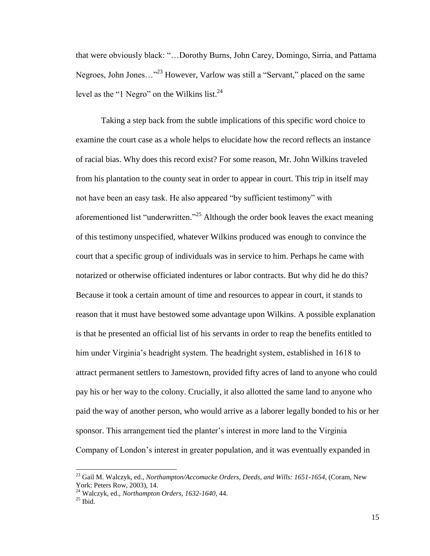that were obviously black: "…Dorothy Burns, John Carey, Domingo, Sirria, and Pattama Negroes, John Jones…"<sup>23</sup> However, Varlow was still a "Servant," placed on the same level as the "1 Negro" on the Wilkins list.<sup>24</sup>

Taking a step back from the subtle implications of this specific word choice to examine the court case as a whole helps to elucidate how the record reflects an instance of racial bias. Why does this record exist? For some reason, Mr. John Wilkins traveled from his plantation to the county seat in order to appear in court. This trip in itself may not have been an easy task. He also appeared "by sufficient testimony" with aforementioned list "underwritten."<sup>25</sup> Although the order book leaves the exact meaning of this testimony unspecified, whatever Wilkins produced was enough to convince the court that a specific group of individuals was in service to him. Perhaps he came with notarized or otherwise officiated indentures or labor contracts. But why did he do this? Because it took a certain amount of time and resources to appear in court, it stands to reason that it must have bestowed some advantage upon Wilkins. A possible explanation is that he presented an official list of his servants in order to reap the benefits entitled to him under Virginia's headright system. The headright system, established in 1618 to attract permanent settlers to Jamestown, provided fifty acres of land to anyone who could pay his or her way to the colony. Crucially, it also allotted the same land to anyone who paid the way of another person, who would arrive as a laborer legally bonded to his or her sponsor. This arrangement tied the planter's interest in more land to the Virginia Company of London's interest in greater population, and it was eventually expanded in

<sup>23</sup> Gail M. Walczyk, ed., *Northampton/Accomacke Orders, Deeds, and Wills: 1651-1654*, (Coram, New York: Peters Row, 2003), 14.

<sup>24</sup> Walczyk, ed., *Northampton Orders, 1632-1640,* 44.

 $25$  Ibid.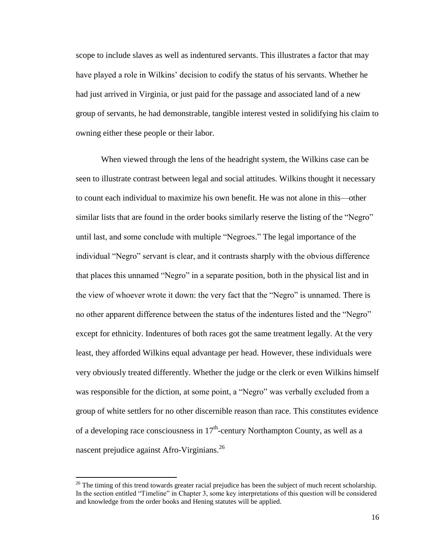scope to include slaves as well as indentured servants. This illustrates a factor that may have played a role in Wilkins' decision to codify the status of his servants. Whether he had just arrived in Virginia, or just paid for the passage and associated land of a new group of servants, he had demonstrable, tangible interest vested in solidifying his claim to owning either these people or their labor.

When viewed through the lens of the headright system, the Wilkins case can be seen to illustrate contrast between legal and social attitudes. Wilkins thought it necessary to count each individual to maximize his own benefit. He was not alone in this—other similar lists that are found in the order books similarly reserve the listing of the "Negro" until last, and some conclude with multiple "Negroes." The legal importance of the individual "Negro" servant is clear, and it contrasts sharply with the obvious difference that places this unnamed "Negro" in a separate position, both in the physical list and in the view of whoever wrote it down: the very fact that the "Negro" is unnamed. There is no other apparent difference between the status of the indentures listed and the "Negro" except for ethnicity. Indentures of both races got the same treatment legally. At the very least, they afforded Wilkins equal advantage per head. However, these individuals were very obviously treated differently. Whether the judge or the clerk or even Wilkins himself was responsible for the diction, at some point, a "Negro" was verbally excluded from a group of white settlers for no other discernible reason than race. This constitutes evidence of a developing race consciousness in  $17<sup>th</sup>$ -century Northampton County, as well as a nascent prejudice against Afro-Virginians.<sup>26</sup>

 $^{26}$  The timing of this trend towards greater racial prejudice has been the subject of much recent scholarship. In the section entitled "Timeline" in Chapter 3, some key interpretations of this question will be considered and knowledge from the order books and Hening statutes will be applied.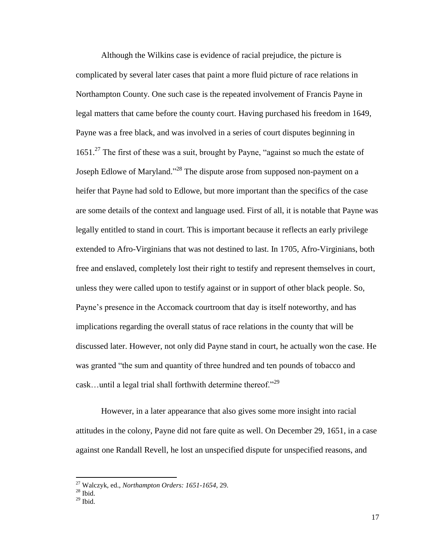Although the Wilkins case is evidence of racial prejudice, the picture is complicated by several later cases that paint a more fluid picture of race relations in Northampton County. One such case is the repeated involvement of Francis Payne in legal matters that came before the county court. Having purchased his freedom in 1649, Payne was a free black, and was involved in a series of court disputes beginning in 1651.<sup>27</sup> The first of these was a suit, brought by Payne, "against so much the estate of Joseph Edlowe of Maryland."<sup>28</sup> The dispute arose from supposed non-payment on a heifer that Payne had sold to Edlowe, but more important than the specifics of the case are some details of the context and language used. First of all, it is notable that Payne was legally entitled to stand in court. This is important because it reflects an early privilege extended to Afro-Virginians that was not destined to last. In 1705, Afro-Virginians, both free and enslaved, completely lost their right to testify and represent themselves in court, unless they were called upon to testify against or in support of other black people. So, Payne's presence in the Accomack courtroom that day is itself noteworthy, and has implications regarding the overall status of race relations in the county that will be discussed later. However, not only did Payne stand in court, he actually won the case. He was granted "the sum and quantity of three hundred and ten pounds of tobacco and cask…until a legal trial shall forthwith determine thereof."<sup>29</sup>

However, in a later appearance that also gives some more insight into racial attitudes in the colony, Payne did not fare quite as well. On December 29, 1651, in a case against one Randall Revell, he lost an unspecified dispute for unspecified reasons, and

<sup>27</sup> Walczyk, ed., *Northampton Orders: 1651-1654,* 29.

 $28$  Ibid.

 $29$  Ibid.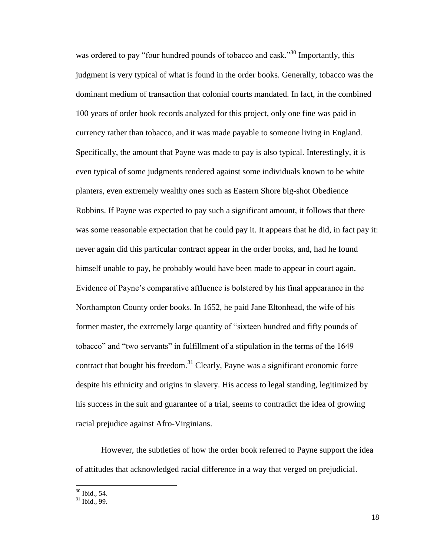was ordered to pay "four hundred pounds of tobacco and cask."<sup>30</sup> Importantly, this judgment is very typical of what is found in the order books. Generally, tobacco was the dominant medium of transaction that colonial courts mandated. In fact, in the combined 100 years of order book records analyzed for this project, only one fine was paid in currency rather than tobacco, and it was made payable to someone living in England. Specifically, the amount that Payne was made to pay is also typical. Interestingly, it is even typical of some judgments rendered against some individuals known to be white planters, even extremely wealthy ones such as Eastern Shore big-shot Obedience Robbins. If Payne was expected to pay such a significant amount, it follows that there was some reasonable expectation that he could pay it. It appears that he did, in fact pay it: never again did this particular contract appear in the order books, and, had he found himself unable to pay, he probably would have been made to appear in court again. Evidence of Payne's comparative affluence is bolstered by his final appearance in the Northampton County order books. In 1652, he paid Jane Eltonhead, the wife of his former master, the extremely large quantity of "sixteen hundred and fifty pounds of tobacco" and "two servants" in fulfillment of a stipulation in the terms of the 1649 contract that bought his freedom.<sup>31</sup> Clearly, Payne was a significant economic force despite his ethnicity and origins in slavery. His access to legal standing, legitimized by his success in the suit and guarantee of a trial, seems to contradict the idea of growing racial prejudice against Afro-Virginians.

However, the subtleties of how the order book referred to Payne support the idea of attitudes that acknowledged racial difference in a way that verged on prejudicial.

 $30$  Ibid., 54.

<sup>31</sup> Ibid.*,* 99.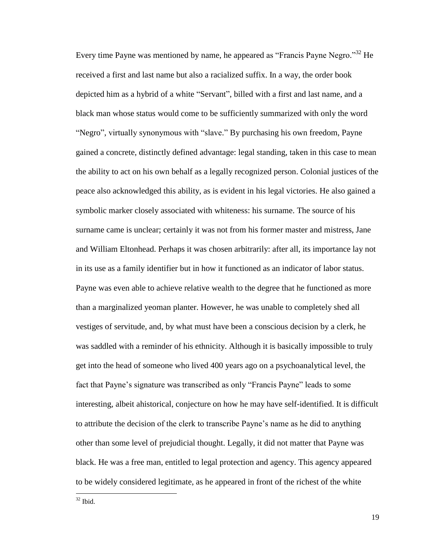Every time Payne was mentioned by name, he appeared as "Francis Payne Negro."<sup>32</sup> He received a first and last name but also a racialized suffix. In a way, the order book depicted him as a hybrid of a white "Servant", billed with a first and last name, and a black man whose status would come to be sufficiently summarized with only the word "Negro", virtually synonymous with "slave." By purchasing his own freedom, Payne gained a concrete, distinctly defined advantage: legal standing, taken in this case to mean the ability to act on his own behalf as a legally recognized person. Colonial justices of the peace also acknowledged this ability, as is evident in his legal victories. He also gained a symbolic marker closely associated with whiteness: his surname. The source of his surname came is unclear; certainly it was not from his former master and mistress, Jane and William Eltonhead. Perhaps it was chosen arbitrarily: after all, its importance lay not in its use as a family identifier but in how it functioned as an indicator of labor status. Payne was even able to achieve relative wealth to the degree that he functioned as more than a marginalized yeoman planter. However, he was unable to completely shed all vestiges of servitude, and, by what must have been a conscious decision by a clerk, he was saddled with a reminder of his ethnicity. Although it is basically impossible to truly get into the head of someone who lived 400 years ago on a psychoanalytical level, the fact that Payne's signature was transcribed as only "Francis Payne" leads to some interesting, albeit ahistorical, conjecture on how he may have self-identified. It is difficult to attribute the decision of the clerk to transcribe Payne's name as he did to anything other than some level of prejudicial thought. Legally, it did not matter that Payne was black. He was a free man, entitled to legal protection and agency. This agency appeared to be widely considered legitimate, as he appeared in front of the richest of the white

 $32$  Ibid.

 $\overline{\phantom{a}}$ 

19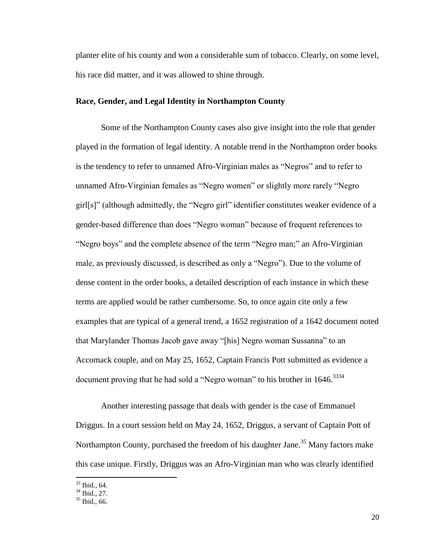planter elite of his county and won a considerable sum of tobacco. Clearly, on some level, his race did matter, and it was allowed to shine through.

#### **Race, Gender, and Legal Identity in Northampton County**

Some of the Northampton County cases also give insight into the role that gender played in the formation of legal identity. A notable trend in the Northampton order books is the tendency to refer to unnamed Afro-Virginian males as "Negros" and to refer to unnamed Afro-Virginian females as "Negro women" or slightly more rarely "Negro girl[s]" (although admittedly, the "Negro girl" identifier constitutes weaker evidence of a gender-based difference than does "Negro woman" because of frequent references to "Negro boys" and the complete absence of the term "Negro man;" an Afro-Virginian male, as previously discussed, is described as only a "Negro"). Due to the volume of dense content in the order books, a detailed description of each instance in which these terms are applied would be rather cumbersome. So, to once again cite only a few examples that are typical of a general trend, a 1652 registration of a 1642 document noted that Marylander Thomas Jacob gave away "[his] Negro woman Sussanna" to an Accomack couple, and on May 25, 1652, Captain Francis Pott submitted as evidence a document proving that he had sold a "Negro woman" to his brother in  $1646$ <sup>3334</sup>

Another interesting passage that deals with gender is the case of Emmanuel Driggus. In a court session held on May 24, 1652, Driggus, a servant of Captain Pott of Northampton County, purchased the freedom of his daughter Jane.<sup>35</sup> Many factors make this case unique. Firstly, Driggus was an Afro-Virginian man who was clearly identified

<sup>33</sup> Ibid.*,* 64.

<sup>34</sup> Ibid., 27.

 $35$  Thid., 66.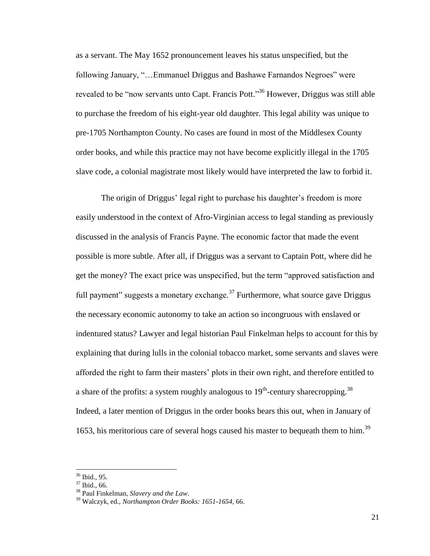as a servant. The May 1652 pronouncement leaves his status unspecified, but the following January, "…Emmanuel Driggus and Bashawe Farnandos Negroes" were revealed to be "now servants unto Capt. Francis Pott."<sup>36</sup> However, Driggus was still able to purchase the freedom of his eight-year old daughter. This legal ability was unique to pre-1705 Northampton County. No cases are found in most of the Middlesex County order books, and while this practice may not have become explicitly illegal in the 1705 slave code, a colonial magistrate most likely would have interpreted the law to forbid it.

The origin of Driggus' legal right to purchase his daughter's freedom is more easily understood in the context of Afro-Virginian access to legal standing as previously discussed in the analysis of Francis Payne. The economic factor that made the event possible is more subtle. After all, if Driggus was a servant to Captain Pott, where did he get the money? The exact price was unspecified, but the term "approved satisfaction and full payment" suggests a monetary exchange. $37$  Furthermore, what source gave Driggus the necessary economic autonomy to take an action so incongruous with enslaved or indentured status? Lawyer and legal historian Paul Finkelman helps to account for this by explaining that during lulls in the colonial tobacco market, some servants and slaves were afforded the right to farm their masters' plots in their own right, and therefore entitled to a share of the profits: a system roughly analogous to  $19<sup>th</sup>$ -century sharecropping.<sup>38</sup> Indeed, a later mention of Driggus in the order books bears this out, when in January of 1653, his meritorious care of several hogs caused his master to bequeath them to him.<sup>39</sup>

<sup>36</sup> Ibid., 95.

<sup>37</sup> Ibid., 66.

<sup>38</sup> Paul Finkelman, *Slavery and the Law*.

<sup>39</sup> Walczyk, ed., *Northampton Order Books: 1651-1654,* 66.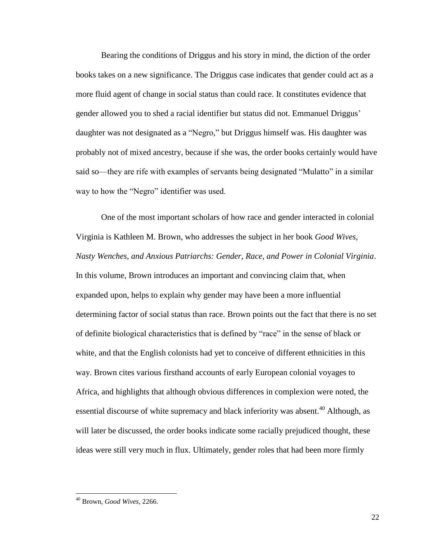Bearing the conditions of Driggus and his story in mind, the diction of the order books takes on a new significance. The Driggus case indicates that gender could act as a more fluid agent of change in social status than could race. It constitutes evidence that gender allowed you to shed a racial identifier but status did not. Emmanuel Driggus' daughter was not designated as a "Negro," but Driggus himself was. His daughter was probably not of mixed ancestry, because if she was, the order books certainly would have said so—they are rife with examples of servants being designated "Mulatto" in a similar way to how the "Negro" identifier was used.

One of the most important scholars of how race and gender interacted in colonial Virginia is Kathleen M. Brown, who addresses the subject in her book *Good Wives, Nasty Wenches, and Anxious Patriarchs: Gender, Race, and Power in Colonial Virginia*. In this volume, Brown introduces an important and convincing claim that, when expanded upon, helps to explain why gender may have been a more influential determining factor of social status than race. Brown points out the fact that there is no set of definite biological characteristics that is defined by "race" in the sense of black or white, and that the English colonists had yet to conceive of different ethnicities in this way. Brown cites various firsthand accounts of early European colonial voyages to Africa, and highlights that although obvious differences in complexion were noted, the essential discourse of white supremacy and black inferiority was absent.<sup>40</sup> Although, as will later be discussed, the order books indicate some racially prejudiced thought, these ideas were still very much in flux. Ultimately, gender roles that had been more firmly

<sup>40</sup> Brown, *Good Wives,* 2266.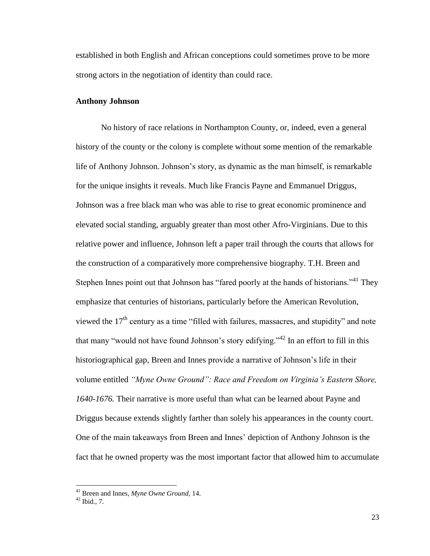established in both English and African conceptions could sometimes prove to be more strong actors in the negotiation of identity than could race.

#### **Anthony Johnson**

No history of race relations in Northampton County, or, indeed, even a general history of the county or the colony is complete without some mention of the remarkable life of Anthony Johnson. Johnson's story, as dynamic as the man himself, is remarkable for the unique insights it reveals. Much like Francis Payne and Emmanuel Driggus, Johnson was a free black man who was able to rise to great economic prominence and elevated social standing, arguably greater than most other Afro-Virginians. Due to this relative power and influence, Johnson left a paper trail through the courts that allows for the construction of a comparatively more comprehensive biography. T.H. Breen and Stephen Innes point out that Johnson has "fared poorly at the hands of historians."<sup>41</sup> They emphasize that centuries of historians, particularly before the American Revolution, viewed the  $17<sup>th</sup>$  century as a time "filled with failures, massacres, and stupidity" and note that many "would not have found Johnson's story edifying."<sup>42</sup> In an effort to fill in this historiographical gap, Breen and Innes provide a narrative of Johnson's life in their volume entitled *"Myne Owne Ground": Race and Freedom on Virginia's Eastern Shore, 1640-1676.* Their narrative is more useful than what can be learned about Payne and Driggus because extends slightly farther than solely his appearances in the county court. One of the main takeaways from Breen and Innes' depiction of Anthony Johnson is the fact that he owned property was the most important factor that allowed him to accumulate

<sup>41</sup> Breen and Innes, *Myne Owne Ground,* 14.

 $42$  Ibid., 7.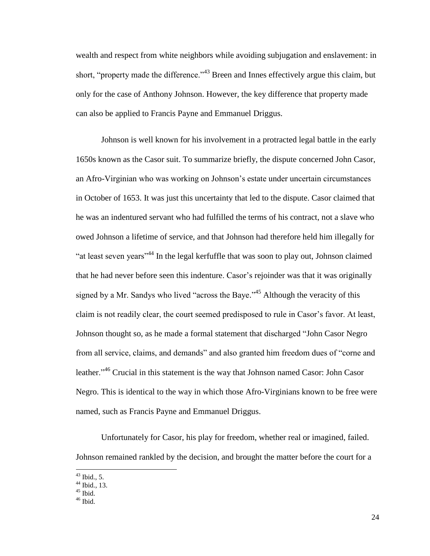wealth and respect from white neighbors while avoiding subjugation and enslavement: in short, "property made the difference."<sup>43</sup> Breen and Innes effectively argue this claim, but only for the case of Anthony Johnson. However, the key difference that property made can also be applied to Francis Payne and Emmanuel Driggus.

Johnson is well known for his involvement in a protracted legal battle in the early 1650s known as the Casor suit. To summarize briefly, the dispute concerned John Casor, an Afro-Virginian who was working on Johnson's estate under uncertain circumstances in October of 1653. It was just this uncertainty that led to the dispute. Casor claimed that he was an indentured servant who had fulfilled the terms of his contract, not a slave who owed Johnson a lifetime of service, and that Johnson had therefore held him illegally for "at least seven years"<sup>44</sup> In the legal kerfuffle that was soon to play out, Johnson claimed that he had never before seen this indenture. Casor's rejoinder was that it was originally signed by a Mr. Sandys who lived "across the Baye."<sup>45</sup> Although the veracity of this claim is not readily clear, the court seemed predisposed to rule in Casor's favor. At least, Johnson thought so, as he made a formal statement that discharged "John Casor Negro from all service, claims, and demands" and also granted him freedom dues of "corne and leather."<sup>46</sup> Crucial in this statement is the way that Johnson named Casor: John Casor Negro. This is identical to the way in which those Afro-Virginians known to be free were named, such as Francis Payne and Emmanuel Driggus.

Unfortunately for Casor, his play for freedom, whether real or imagined, failed. Johnson remained rankled by the decision, and brought the matter before the court for a

 $43$  Ibid., 5.

<sup>44</sup> Ibid.*,* 13.

 $45$  Ibid.

 $46$  Ibid.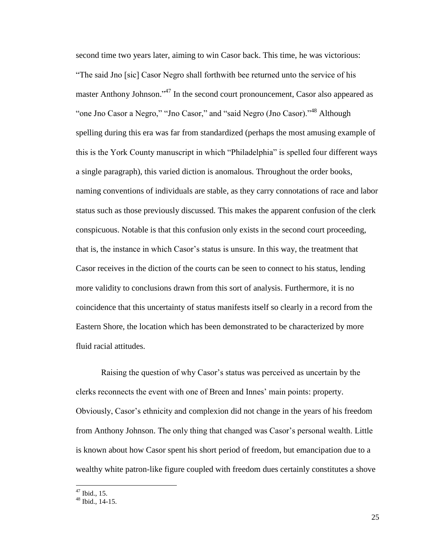second time two years later, aiming to win Casor back. This time, he was victorious: "The said Jno [sic] Casor Negro shall forthwith bee returned unto the service of his master Anthony Johnson."<sup>47</sup> In the second court pronouncement, Casor also appeared as "one Jno Casor a Negro," "Jno Casor," and "said Negro (Jno Casor)."<sup>48</sup> Although spelling during this era was far from standardized (perhaps the most amusing example of this is the York County manuscript in which "Philadelphia" is spelled four different ways a single paragraph), this varied diction is anomalous. Throughout the order books, naming conventions of individuals are stable, as they carry connotations of race and labor status such as those previously discussed. This makes the apparent confusion of the clerk conspicuous. Notable is that this confusion only exists in the second court proceeding, that is, the instance in which Casor's status is unsure. In this way, the treatment that Casor receives in the diction of the courts can be seen to connect to his status, lending more validity to conclusions drawn from this sort of analysis. Furthermore, it is no coincidence that this uncertainty of status manifests itself so clearly in a record from the Eastern Shore, the location which has been demonstrated to be characterized by more fluid racial attitudes.

Raising the question of why Casor's status was perceived as uncertain by the clerks reconnects the event with one of Breen and Innes' main points: property. Obviously, Casor's ethnicity and complexion did not change in the years of his freedom from Anthony Johnson. The only thing that changed was Casor's personal wealth. Little is known about how Casor spent his short period of freedom, but emancipation due to a wealthy white patron-like figure coupled with freedom dues certainly constitutes a shove

 $47$  Ibid., 15.

 $48$  Ibid., 14-15.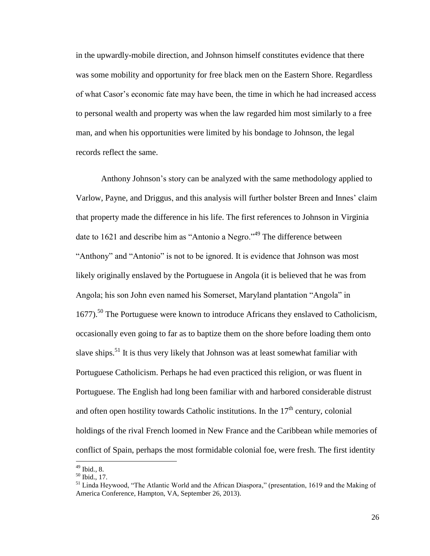in the upwardly-mobile direction, and Johnson himself constitutes evidence that there was some mobility and opportunity for free black men on the Eastern Shore. Regardless of what Casor's economic fate may have been, the time in which he had increased access to personal wealth and property was when the law regarded him most similarly to a free man, and when his opportunities were limited by his bondage to Johnson, the legal records reflect the same.

Anthony Johnson's story can be analyzed with the same methodology applied to Varlow, Payne, and Driggus, and this analysis will further bolster Breen and Innes' claim that property made the difference in his life. The first references to Johnson in Virginia date to 1621 and describe him as "Antonio a Negro."<sup>49</sup> The difference between "Anthony" and "Antonio" is not to be ignored. It is evidence that Johnson was most likely originally enslaved by the Portuguese in Angola (it is believed that he was from Angola; his son John even named his Somerset, Maryland plantation "Angola" in 1677).<sup>50</sup> The Portuguese were known to introduce Africans they enslaved to Catholicism, occasionally even going to far as to baptize them on the shore before loading them onto slave ships. $51$  It is thus very likely that Johnson was at least somewhat familiar with Portuguese Catholicism. Perhaps he had even practiced this religion, or was fluent in Portuguese. The English had long been familiar with and harbored considerable distrust and often open hostility towards Catholic institutions. In the  $17<sup>th</sup>$  century, colonial holdings of the rival French loomed in New France and the Caribbean while memories of conflict of Spain, perhaps the most formidable colonial foe, were fresh. The first identity

 $\overline{a}$ 

<sup>49</sup> Ibid.*,* 8.

<sup>50</sup> Ibid., 17.

<sup>&</sup>lt;sup>51</sup> Linda Heywood, "The Atlantic World and the African Diaspora," (presentation, 1619 and the Making of America Conference, Hampton, VA, September 26, 2013).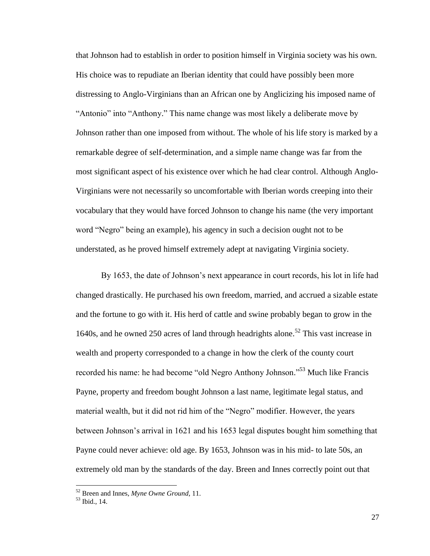that Johnson had to establish in order to position himself in Virginia society was his own. His choice was to repudiate an Iberian identity that could have possibly been more distressing to Anglo-Virginians than an African one by Anglicizing his imposed name of "Antonio" into "Anthony." This name change was most likely a deliberate move by Johnson rather than one imposed from without. The whole of his life story is marked by a remarkable degree of self-determination, and a simple name change was far from the most significant aspect of his existence over which he had clear control. Although Anglo-Virginians were not necessarily so uncomfortable with Iberian words creeping into their vocabulary that they would have forced Johnson to change his name (the very important word "Negro" being an example), his agency in such a decision ought not to be understated, as he proved himself extremely adept at navigating Virginia society.

By 1653, the date of Johnson's next appearance in court records, his lot in life had changed drastically. He purchased his own freedom, married, and accrued a sizable estate and the fortune to go with it. His herd of cattle and swine probably began to grow in the 1640s, and he owned 250 acres of land through headrights alone.<sup>52</sup> This vast increase in wealth and property corresponded to a change in how the clerk of the county court recorded his name: he had become "old Negro Anthony Johnson."<sup>53</sup> Much like Francis Payne, property and freedom bought Johnson a last name, legitimate legal status, and material wealth, but it did not rid him of the "Negro" modifier. However, the years between Johnson's arrival in 1621 and his 1653 legal disputes bought him something that Payne could never achieve: old age. By 1653, Johnson was in his mid- to late 50s, an extremely old man by the standards of the day. Breen and Innes correctly point out that

<sup>52</sup> Breen and Innes, *Myne Owne Ground,* 11.

<sup>53</sup> Ibid., 14.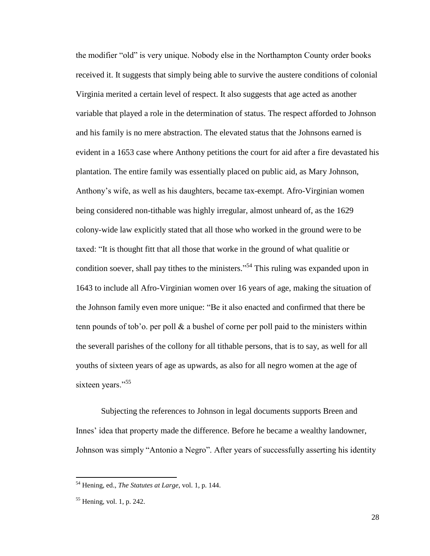the modifier "old" is very unique. Nobody else in the Northampton County order books received it. It suggests that simply being able to survive the austere conditions of colonial Virginia merited a certain level of respect. It also suggests that age acted as another variable that played a role in the determination of status. The respect afforded to Johnson and his family is no mere abstraction. The elevated status that the Johnsons earned is evident in a 1653 case where Anthony petitions the court for aid after a fire devastated his plantation. The entire family was essentially placed on public aid, as Mary Johnson, Anthony's wife, as well as his daughters, became tax-exempt. Afro-Virginian women being considered non-tithable was highly irregular, almost unheard of, as the 1629 colony-wide law explicitly stated that all those who worked in the ground were to be taxed: "It is thought fitt that all those that worke in the ground of what qualitie or condition soever, shall pay tithes to the ministers."<sup>54</sup> This ruling was expanded upon in 1643 to include all Afro-Virginian women over 16 years of age, making the situation of the Johnson family even more unique: "Be it also enacted and confirmed that there be tenn pounds of tob'o. per poll  $\&$  a bushel of corne per poll paid to the ministers within the severall parishes of the collony for all tithable persons, that is to say, as well for all youths of sixteen years of age as upwards, as also for all negro women at the age of sixteen years."<sup>55</sup>

Subjecting the references to Johnson in legal documents supports Breen and Innes' idea that property made the difference. Before he became a wealthy landowner, Johnson was simply "Antonio a Negro". After years of successfully asserting his identity

<sup>54</sup> Hening, ed., *The Statutes at Large*, vol. 1, p. 144.

 $55$  Hening, vol. 1, p. 242.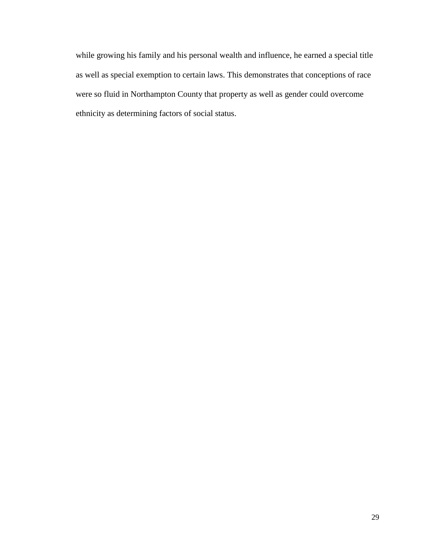while growing his family and his personal wealth and influence, he earned a special title as well as special exemption to certain laws. This demonstrates that conceptions of race were so fluid in Northampton County that property as well as gender could overcome ethnicity as determining factors of social status.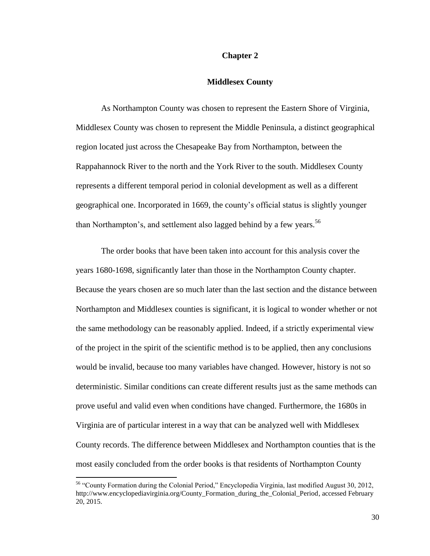#### **Chapter 2**

#### **Middlesex County**

As Northampton County was chosen to represent the Eastern Shore of Virginia, Middlesex County was chosen to represent the Middle Peninsula, a distinct geographical region located just across the Chesapeake Bay from Northampton, between the Rappahannock River to the north and the York River to the south. Middlesex County represents a different temporal period in colonial development as well as a different geographical one. Incorporated in 1669, the county's official status is slightly younger than Northampton's, and settlement also lagged behind by a few years.<sup>56</sup>

The order books that have been taken into account for this analysis cover the years 1680-1698, significantly later than those in the Northampton County chapter. Because the years chosen are so much later than the last section and the distance between Northampton and Middlesex counties is significant, it is logical to wonder whether or not the same methodology can be reasonably applied. Indeed, if a strictly experimental view of the project in the spirit of the scientific method is to be applied, then any conclusions would be invalid, because too many variables have changed. However, history is not so deterministic. Similar conditions can create different results just as the same methods can prove useful and valid even when conditions have changed. Furthermore, the 1680s in Virginia are of particular interest in a way that can be analyzed well with Middlesex County records. The difference between Middlesex and Northampton counties that is the most easily concluded from the order books is that residents of Northampton County

<sup>56</sup> "County Formation during the Colonial Period," Encyclopedia Virginia, last modified August 30, 2012, http://www.encyclopediavirginia.org/County\_Formation\_during\_the\_Colonial\_Period, accessed February 20, 2015.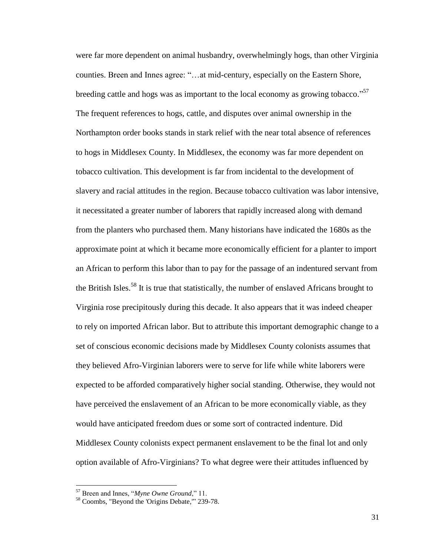were far more dependent on animal husbandry, overwhelmingly hogs, than other Virginia counties. Breen and Innes agree: "…at mid-century, especially on the Eastern Shore, breeding cattle and hogs was as important to the local economy as growing tobacco."<sup>57</sup> The frequent references to hogs, cattle, and disputes over animal ownership in the Northampton order books stands in stark relief with the near total absence of references to hogs in Middlesex County. In Middlesex, the economy was far more dependent on tobacco cultivation. This development is far from incidental to the development of slavery and racial attitudes in the region. Because tobacco cultivation was labor intensive, it necessitated a greater number of laborers that rapidly increased along with demand from the planters who purchased them. Many historians have indicated the 1680s as the approximate point at which it became more economically efficient for a planter to import an African to perform this labor than to pay for the passage of an indentured servant from the British Isles.<sup>58</sup> It is true that statistically, the number of enslaved Africans brought to Virginia rose precipitously during this decade. It also appears that it was indeed cheaper to rely on imported African labor. But to attribute this important demographic change to a set of conscious economic decisions made by Middlesex County colonists assumes that they believed Afro-Virginian laborers were to serve for life while white laborers were expected to be afforded comparatively higher social standing. Otherwise, they would not have perceived the enslavement of an African to be more economically viable, as they would have anticipated freedom dues or some sort of contracted indenture. Did Middlesex County colonists expect permanent enslavement to be the final lot and only option available of Afro-Virginians? To what degree were their attitudes influenced by

<sup>57</sup> Breen and Innes, "*Myne Owne Ground*," 11.

<sup>58</sup> Coombs, "Beyond the 'Origins Debate,'" 239-78.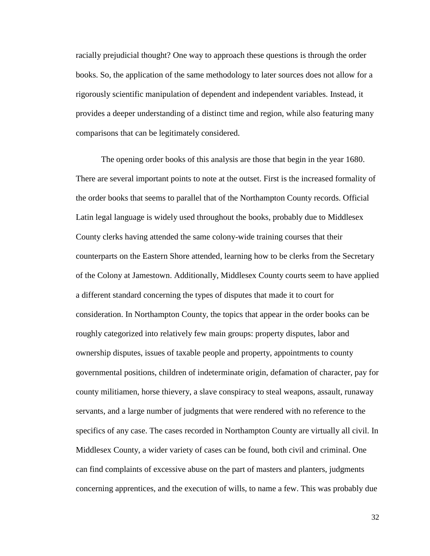racially prejudicial thought? One way to approach these questions is through the order books. So, the application of the same methodology to later sources does not allow for a rigorously scientific manipulation of dependent and independent variables. Instead, it provides a deeper understanding of a distinct time and region, while also featuring many comparisons that can be legitimately considered.

The opening order books of this analysis are those that begin in the year 1680. There are several important points to note at the outset. First is the increased formality of the order books that seems to parallel that of the Northampton County records. Official Latin legal language is widely used throughout the books, probably due to Middlesex County clerks having attended the same colony-wide training courses that their counterparts on the Eastern Shore attended, learning how to be clerks from the Secretary of the Colony at Jamestown. Additionally, Middlesex County courts seem to have applied a different standard concerning the types of disputes that made it to court for consideration. In Northampton County, the topics that appear in the order books can be roughly categorized into relatively few main groups: property disputes, labor and ownership disputes, issues of taxable people and property, appointments to county governmental positions, children of indeterminate origin, defamation of character, pay for county militiamen, horse thievery, a slave conspiracy to steal weapons, assault, runaway servants, and a large number of judgments that were rendered with no reference to the specifics of any case. The cases recorded in Northampton County are virtually all civil. In Middlesex County, a wider variety of cases can be found, both civil and criminal. One can find complaints of excessive abuse on the part of masters and planters, judgments concerning apprentices, and the execution of wills, to name a few. This was probably due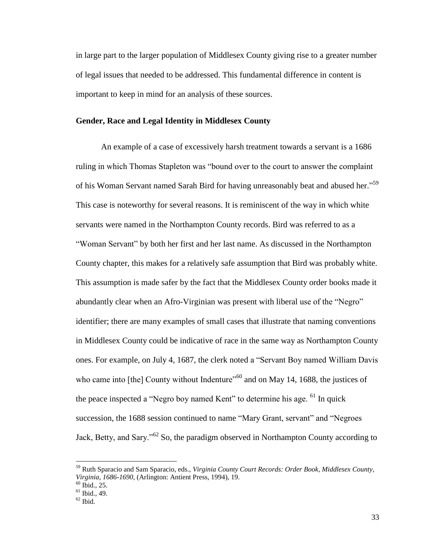in large part to the larger population of Middlesex County giving rise to a greater number of legal issues that needed to be addressed. This fundamental difference in content is important to keep in mind for an analysis of these sources.

#### **Gender, Race and Legal Identity in Middlesex County**

An example of a case of excessively harsh treatment towards a servant is a 1686 ruling in which Thomas Stapleton was "bound over to the court to answer the complaint of his Woman Servant named Sarah Bird for having unreasonably beat and abused her."<sup>59</sup> This case is noteworthy for several reasons. It is reminiscent of the way in which white servants were named in the Northampton County records. Bird was referred to as a "Woman Servant" by both her first and her last name. As discussed in the Northampton County chapter, this makes for a relatively safe assumption that Bird was probably white. This assumption is made safer by the fact that the Middlesex County order books made it abundantly clear when an Afro-Virginian was present with liberal use of the "Negro" identifier; there are many examples of small cases that illustrate that naming conventions in Middlesex County could be indicative of race in the same way as Northampton County ones. For example, on July 4, 1687, the clerk noted a "Servant Boy named William Davis who came into [the] County without Indenture<sup>"60</sup> and on May 14, 1688, the justices of the peace inspected a "Negro boy named Kent" to determine his age. <sup>61</sup> In quick succession, the 1688 session continued to name "Mary Grant, servant" and "Negroes Jack, Betty, and Sary."<sup>62</sup> So, the paradigm observed in Northampton County according to

 $\overline{a}$ 

<sup>59</sup> Ruth Sparacio and Sam Sparacio, eds., *Virginia County Court Records: Order Book, Middlesex County, Virginia, 1686-1690*, (Arlington: Antient Press, 1994), 19.

 $60$  Ibid., 25.

 $61$  Ibid., 49.

 $62$  Ibid.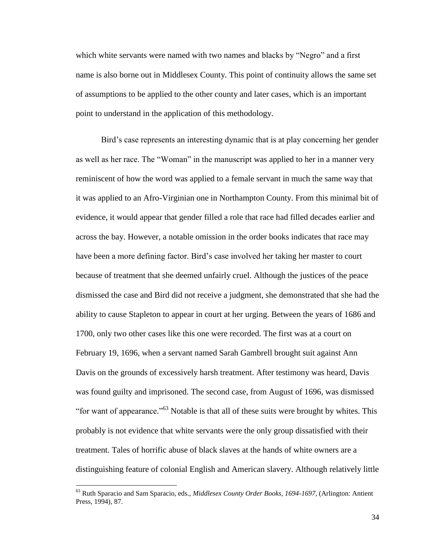which white servants were named with two names and blacks by "Negro" and a first name is also borne out in Middlesex County. This point of continuity allows the same set of assumptions to be applied to the other county and later cases, which is an important point to understand in the application of this methodology.

Bird's case represents an interesting dynamic that is at play concerning her gender as well as her race. The "Woman" in the manuscript was applied to her in a manner very reminiscent of how the word was applied to a female servant in much the same way that it was applied to an Afro-Virginian one in Northampton County. From this minimal bit of evidence, it would appear that gender filled a role that race had filled decades earlier and across the bay. However, a notable omission in the order books indicates that race may have been a more defining factor. Bird's case involved her taking her master to court because of treatment that she deemed unfairly cruel. Although the justices of the peace dismissed the case and Bird did not receive a judgment, she demonstrated that she had the ability to cause Stapleton to appear in court at her urging. Between the years of 1686 and 1700, only two other cases like this one were recorded. The first was at a court on February 19, 1696, when a servant named Sarah Gambrell brought suit against Ann Davis on the grounds of excessively harsh treatment. After testimony was heard, Davis was found guilty and imprisoned. The second case, from August of 1696, was dismissed "for want of appearance."<sup>63</sup> Notable is that all of these suits were brought by whites. This probably is not evidence that white servants were the only group dissatisfied with their treatment. Tales of horrific abuse of black slaves at the hands of white owners are a distinguishing feature of colonial English and American slavery. Although relatively little

<sup>63</sup> Ruth Sparacio and Sam Sparacio, eds., *Middlesex County Order Books, 1694-1697,* (Arlington: Antient Press, 1994)*,* 87.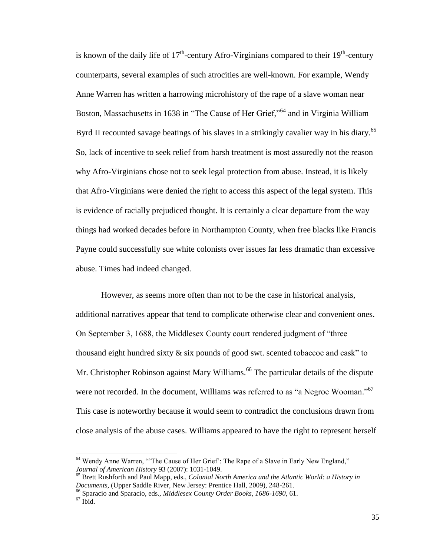is known of the daily life of  $17<sup>th</sup>$ -century Afro-Virginians compared to their  $19<sup>th</sup>$ -century counterparts, several examples of such atrocities are well-known. For example, Wendy Anne Warren has written a harrowing microhistory of the rape of a slave woman near Boston, Massachusetts in 1638 in "The Cause of Her Grief,"<sup>64</sup> and in Virginia William Byrd II recounted savage beatings of his slaves in a strikingly cavalier way in his diary.<sup>65</sup> So, lack of incentive to seek relief from harsh treatment is most assuredly not the reason why Afro-Virginians chose not to seek legal protection from abuse. Instead, it is likely that Afro-Virginians were denied the right to access this aspect of the legal system. This is evidence of racially prejudiced thought. It is certainly a clear departure from the way things had worked decades before in Northampton County, when free blacks like Francis Payne could successfully sue white colonists over issues far less dramatic than excessive abuse. Times had indeed changed.

However, as seems more often than not to be the case in historical analysis, additional narratives appear that tend to complicate otherwise clear and convenient ones. On September 3, 1688, the Middlesex County court rendered judgment of "three thousand eight hundred sixty & six pounds of good swt. scented tobaccoe and cask" to Mr. Christopher Robinson against Mary Williams.<sup>66</sup> The particular details of the dispute were not recorded. In the document, Williams was referred to as "a Negroe Wooman."<sup>67</sup> This case is noteworthy because it would seem to contradict the conclusions drawn from close analysis of the abuse cases. Williams appeared to have the right to represent herself

l

<sup>&</sup>lt;sup>64</sup> Wendy Anne Warren, "The Cause of Her Grief": The Rape of a Slave in Early New England," *Journal of American History* 93 (2007): 1031-1049.

<sup>65</sup> Brett Rushforth and Paul Mapp, eds., *Colonial North America and the Atlantic World: a History in Documents*, (Upper Saddle River, New Jersey: Prentice Hall, 2009), 248-261.

<sup>66</sup> Sparacio and Sparacio, eds., *Middlesex County Order Books, 1686-1690,* 61.

 $67$  Ibid.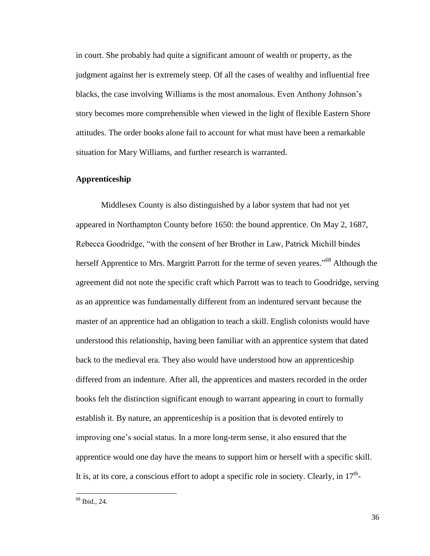in court. She probably had quite a significant amount of wealth or property, as the judgment against her is extremely steep. Of all the cases of wealthy and influential free blacks, the case involving Williams is the most anomalous. Even Anthony Johnson's story becomes more comprehensible when viewed in the light of flexible Eastern Shore attitudes. The order books alone fail to account for what must have been a remarkable situation for Mary Williams, and further research is warranted.

# **Apprenticeship**

Middlesex County is also distinguished by a labor system that had not yet appeared in Northampton County before 1650: the bound apprentice. On May 2, 1687, Rebecca Goodridge, "with the consent of her Brother in Law, Patrick Michill bindes herself Apprentice to Mrs. Margritt Parrott for the terme of seven yeares."<sup>68</sup> Although the agreement did not note the specific craft which Parrott was to teach to Goodridge, serving as an apprentice was fundamentally different from an indentured servant because the master of an apprentice had an obligation to teach a skill. English colonists would have understood this relationship, having been familiar with an apprentice system that dated back to the medieval era. They also would have understood how an apprenticeship differed from an indenture. After all, the apprentices and masters recorded in the order books felt the distinction significant enough to warrant appearing in court to formally establish it. By nature, an apprenticeship is a position that is devoted entirely to improving one's social status. In a more long-term sense, it also ensured that the apprentice would one day have the means to support him or herself with a specific skill. It is, at its core, a conscious effort to adopt a specific role in society. Clearly, in  $17<sup>th</sup>$ -

<sup>68</sup> Ibid., 24.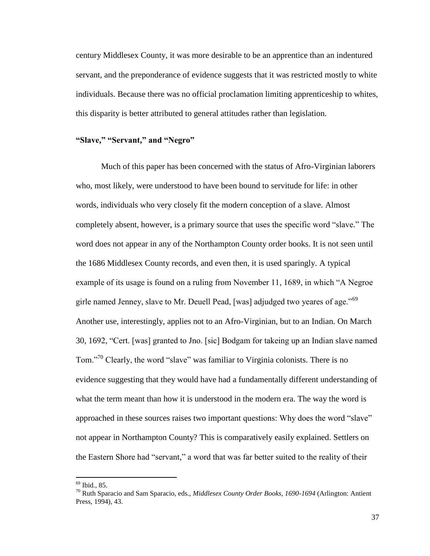century Middlesex County, it was more desirable to be an apprentice than an indentured servant, and the preponderance of evidence suggests that it was restricted mostly to white individuals. Because there was no official proclamation limiting apprenticeship to whites, this disparity is better attributed to general attitudes rather than legislation.

# **"Slave," "Servant," and "Negro"**

Much of this paper has been concerned with the status of Afro-Virginian laborers who, most likely, were understood to have been bound to servitude for life: in other words, individuals who very closely fit the modern conception of a slave. Almost completely absent, however, is a primary source that uses the specific word "slave." The word does not appear in any of the Northampton County order books. It is not seen until the 1686 Middlesex County records, and even then, it is used sparingly. A typical example of its usage is found on a ruling from November 11, 1689, in which "A Negroe girle named Jenney, slave to Mr. Deuell Pead, [was] adjudged two yeares of age."<sup>69</sup> Another use, interestingly, applies not to an Afro-Virginian, but to an Indian. On March 30, 1692, "Cert. [was] granted to Jno. [sic] Bodgam for takeing up an Indian slave named Tom."<sup>70</sup> Clearly, the word "slave" was familiar to Virginia colonists. There is no evidence suggesting that they would have had a fundamentally different understanding of what the term meant than how it is understood in the modern era. The way the word is approached in these sources raises two important questions: Why does the word "slave" not appear in Northampton County? This is comparatively easily explained. Settlers on the Eastern Shore had "servant," a word that was far better suited to the reality of their

<sup>69</sup> Ibid., 85.

<sup>70</sup> Ruth Sparacio and Sam Sparacio, eds., *Middlesex County Order Books, 1690-1694* (Arlington: Antient Press, 1994), 43.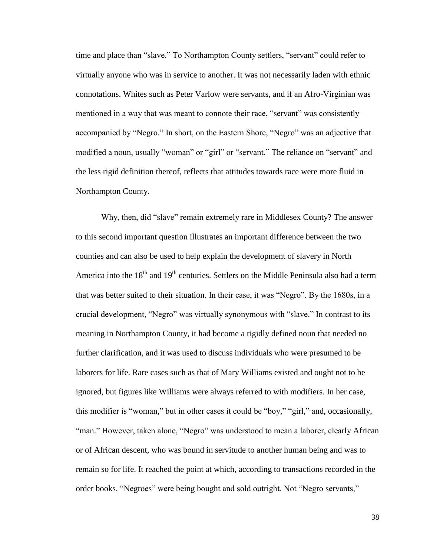time and place than "slave." To Northampton County settlers, "servant" could refer to virtually anyone who was in service to another. It was not necessarily laden with ethnic connotations. Whites such as Peter Varlow were servants, and if an Afro-Virginian was mentioned in a way that was meant to connote their race, "servant" was consistently accompanied by "Negro." In short, on the Eastern Shore, "Negro" was an adjective that modified a noun, usually "woman" or "girl" or "servant." The reliance on "servant" and the less rigid definition thereof, reflects that attitudes towards race were more fluid in Northampton County.

Why, then, did "slave" remain extremely rare in Middlesex County? The answer to this second important question illustrates an important difference between the two counties and can also be used to help explain the development of slavery in North America into the  $18<sup>th</sup>$  and  $19<sup>th</sup>$  centuries. Settlers on the Middle Peninsula also had a term that was better suited to their situation. In their case, it was "Negro". By the 1680s, in a crucial development, "Negro" was virtually synonymous with "slave." In contrast to its meaning in Northampton County, it had become a rigidly defined noun that needed no further clarification, and it was used to discuss individuals who were presumed to be laborers for life. Rare cases such as that of Mary Williams existed and ought not to be ignored, but figures like Williams were always referred to with modifiers. In her case, this modifier is "woman," but in other cases it could be "boy," "girl," and, occasionally, "man." However, taken alone, "Negro" was understood to mean a laborer, clearly African or of African descent, who was bound in servitude to another human being and was to remain so for life. It reached the point at which, according to transactions recorded in the order books, "Negroes" were being bought and sold outright. Not "Negro servants,"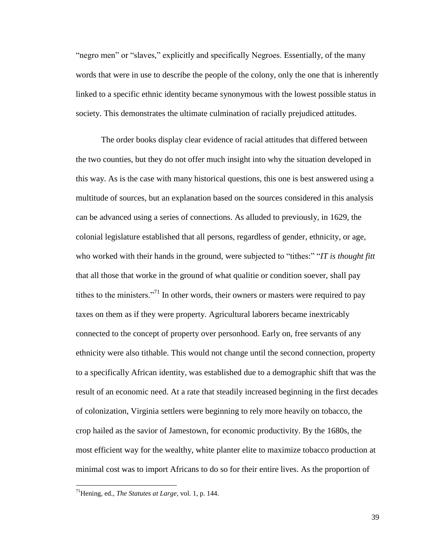"negro men" or "slaves," explicitly and specifically Negroes. Essentially, of the many words that were in use to describe the people of the colony, only the one that is inherently linked to a specific ethnic identity became synonymous with the lowest possible status in society. This demonstrates the ultimate culmination of racially prejudiced attitudes.

The order books display clear evidence of racial attitudes that differed between the two counties, but they do not offer much insight into why the situation developed in this way. As is the case with many historical questions, this one is best answered using a multitude of sources, but an explanation based on the sources considered in this analysis can be advanced using a series of connections. As alluded to previously, in 1629, the colonial legislature established that all persons, regardless of gender, ethnicity, or age, who worked with their hands in the ground, were subjected to "tithes:" "*IT is thought fitt* that all those that worke in the ground of what qualitie or condition soever, shall pay tithes to the ministers.<sup>"71</sup> In other words, their owners or masters were required to pay taxes on them as if they were property. Agricultural laborers became inextricably connected to the concept of property over personhood. Early on, free servants of any ethnicity were also tithable. This would not change until the second connection, property to a specifically African identity, was established due to a demographic shift that was the result of an economic need. At a rate that steadily increased beginning in the first decades of colonization, Virginia settlers were beginning to rely more heavily on tobacco, the crop hailed as the savior of Jamestown, for economic productivity. By the 1680s, the most efficient way for the wealthy, white planter elite to maximize tobacco production at minimal cost was to import Africans to do so for their entire lives. As the proportion of

<sup>71</sup>Hening, ed., *The Statutes at Large*, vol. 1, p. 144.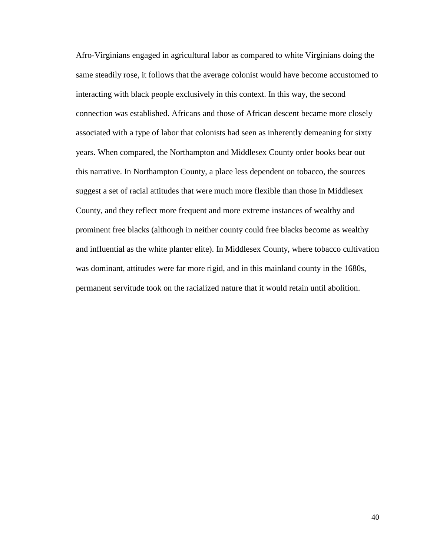Afro-Virginians engaged in agricultural labor as compared to white Virginians doing the same steadily rose, it follows that the average colonist would have become accustomed to interacting with black people exclusively in this context. In this way, the second connection was established. Africans and those of African descent became more closely associated with a type of labor that colonists had seen as inherently demeaning for sixty years. When compared, the Northampton and Middlesex County order books bear out this narrative. In Northampton County, a place less dependent on tobacco, the sources suggest a set of racial attitudes that were much more flexible than those in Middlesex County, and they reflect more frequent and more extreme instances of wealthy and prominent free blacks (although in neither county could free blacks become as wealthy and influential as the white planter elite). In Middlesex County, where tobacco cultivation was dominant, attitudes were far more rigid, and in this mainland county in the 1680s, permanent servitude took on the racialized nature that it would retain until abolition.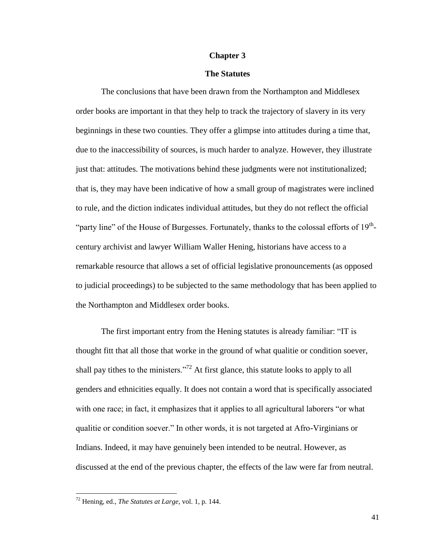#### **Chapter 3**

#### **The Statutes**

The conclusions that have been drawn from the Northampton and Middlesex order books are important in that they help to track the trajectory of slavery in its very beginnings in these two counties. They offer a glimpse into attitudes during a time that, due to the inaccessibility of sources, is much harder to analyze. However, they illustrate just that: attitudes. The motivations behind these judgments were not institutionalized; that is, they may have been indicative of how a small group of magistrates were inclined to rule, and the diction indicates individual attitudes, but they do not reflect the official "party line" of the House of Burgesses. Fortunately, thanks to the colossal efforts of  $19<sup>th</sup>$ century archivist and lawyer William Waller Hening, historians have access to a remarkable resource that allows a set of official legislative pronouncements (as opposed to judicial proceedings) to be subjected to the same methodology that has been applied to the Northampton and Middlesex order books.

The first important entry from the Hening statutes is already familiar: "IT is thought fitt that all those that worke in the ground of what qualitie or condition soever, shall pay tithes to the ministers."<sup>72</sup> At first glance, this statute looks to apply to all genders and ethnicities equally. It does not contain a word that is specifically associated with one race; in fact, it emphasizes that it applies to all agricultural laborers "or what qualitie or condition soever." In other words, it is not targeted at Afro-Virginians or Indians. Indeed, it may have genuinely been intended to be neutral. However, as discussed at the end of the previous chapter, the effects of the law were far from neutral.

<sup>72</sup> Hening, ed., *The Statutes at Large*, vol. 1, p. 144.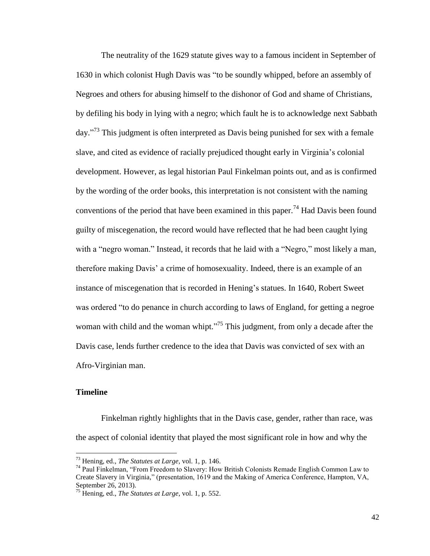The neutrality of the 1629 statute gives way to a famous incident in September of 1630 in which colonist Hugh Davis was "to be soundly whipped, before an assembly of Negroes and others for abusing himself to the dishonor of God and shame of Christians, by defiling his body in lying with a negro; which fault he is to acknowledge next Sabbath day."<sup>73</sup> This judgment is often interpreted as Davis being punished for sex with a female slave, and cited as evidence of racially prejudiced thought early in Virginia's colonial development. However, as legal historian Paul Finkelman points out, and as is confirmed by the wording of the order books, this interpretation is not consistent with the naming conventions of the period that have been examined in this paper.<sup>74</sup> Had Davis been found guilty of miscegenation, the record would have reflected that he had been caught lying with a "negro woman." Instead, it records that he laid with a "Negro," most likely a man, therefore making Davis' a crime of homosexuality. Indeed, there is an example of an instance of miscegenation that is recorded in Hening's statues. In 1640, Robert Sweet was ordered "to do penance in church according to laws of England, for getting a negroe woman with child and the woman whipt."<sup>75</sup> This judgment, from only a decade after the Davis case, lends further credence to the idea that Davis was convicted of sex with an Afro-Virginian man.

## **Timeline**

l

Finkelman rightly highlights that in the Davis case, gender, rather than race, was the aspect of colonial identity that played the most significant role in how and why the

<sup>73</sup> Hening, ed., *The Statutes at Large*, vol. 1, p. 146.

<sup>&</sup>lt;sup>74</sup> Paul Finkelman, "From Freedom to Slavery: How British Colonists Remade English Common Law to Create Slavery in Virginia," (presentation, 1619 and the Making of America Conference, Hampton, VA, September 26, 2013).

<sup>75</sup> Hening, ed., *The Statutes at Large*, vol. 1, p. 552.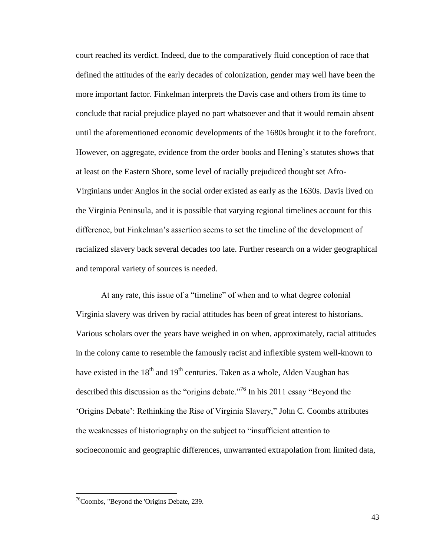court reached its verdict. Indeed, due to the comparatively fluid conception of race that defined the attitudes of the early decades of colonization, gender may well have been the more important factor. Finkelman interprets the Davis case and others from its time to conclude that racial prejudice played no part whatsoever and that it would remain absent until the aforementioned economic developments of the 1680s brought it to the forefront. However, on aggregate, evidence from the order books and Hening's statutes shows that at least on the Eastern Shore, some level of racially prejudiced thought set Afro-Virginians under Anglos in the social order existed as early as the 1630s. Davis lived on the Virginia Peninsula, and it is possible that varying regional timelines account for this difference, but Finkelman's assertion seems to set the timeline of the development of racialized slavery back several decades too late. Further research on a wider geographical and temporal variety of sources is needed.

At any rate, this issue of a "timeline" of when and to what degree colonial Virginia slavery was driven by racial attitudes has been of great interest to historians. Various scholars over the years have weighed in on when, approximately, racial attitudes in the colony came to resemble the famously racist and inflexible system well-known to have existed in the  $18<sup>th</sup>$  and  $19<sup>th</sup>$  centuries. Taken as a whole, Alden Vaughan has described this discussion as the "origins debate."<sup>76</sup> In his 2011 essay "Beyond the 'Origins Debate': Rethinking the Rise of Virginia Slavery," John C. Coombs attributes the weaknesses of historiography on the subject to "insufficient attention to socioeconomic and geographic differences, unwarranted extrapolation from limited data,

 $76$ Coombs, "Beyond the 'Origins Debate, 239.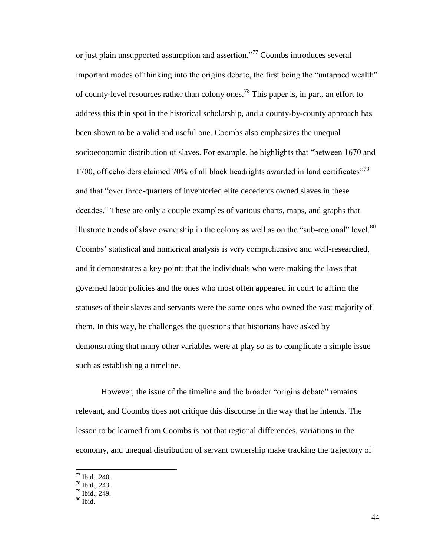or just plain unsupported assumption and assertion."<sup>77</sup> Coombs introduces several important modes of thinking into the origins debate, the first being the "untapped wealth" of county-level resources rather than colony ones.<sup>78</sup> This paper is, in part, an effort to address this thin spot in the historical scholarship, and a county-by-county approach has been shown to be a valid and useful one. Coombs also emphasizes the unequal socioeconomic distribution of slaves. For example, he highlights that "between 1670 and 1700, officeholders claimed 70% of all black headrights awarded in land certificates"<sup>79</sup> and that "over three-quarters of inventoried elite decedents owned slaves in these decades." These are only a couple examples of various charts, maps, and graphs that illustrate trends of slave ownership in the colony as well as on the "sub-regional" level.<sup>80</sup> Coombs' statistical and numerical analysis is very comprehensive and well-researched, and it demonstrates a key point: that the individuals who were making the laws that governed labor policies and the ones who most often appeared in court to affirm the statuses of their slaves and servants were the same ones who owned the vast majority of them. In this way, he challenges the questions that historians have asked by demonstrating that many other variables were at play so as to complicate a simple issue such as establishing a timeline.

However, the issue of the timeline and the broader "origins debate" remains relevant, and Coombs does not critique this discourse in the way that he intends. The lesson to be learned from Coombs is not that regional differences, variations in the economy, and unequal distribution of servant ownership make tracking the trajectory of

<sup>77</sup> Ibid., 240.

<sup>78</sup> Ibid., 243.

<sup>79</sup> Ibid., 249.

 $80$  Ibid.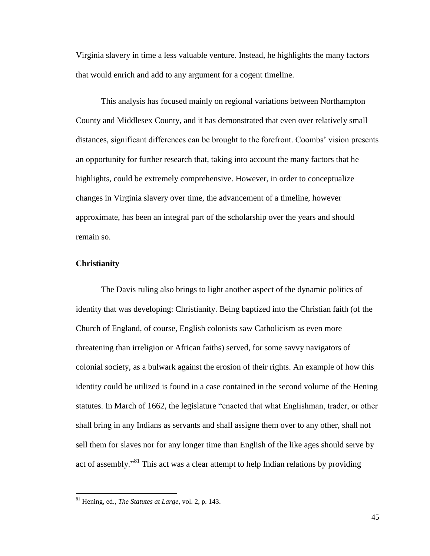Virginia slavery in time a less valuable venture. Instead, he highlights the many factors that would enrich and add to any argument for a cogent timeline.

This analysis has focused mainly on regional variations between Northampton County and Middlesex County, and it has demonstrated that even over relatively small distances, significant differences can be brought to the forefront. Coombs' vision presents an opportunity for further research that, taking into account the many factors that he highlights, could be extremely comprehensive. However, in order to conceptualize changes in Virginia slavery over time, the advancement of a timeline, however approximate, has been an integral part of the scholarship over the years and should remain so.

#### **Christianity**

 $\overline{\phantom{a}}$ 

The Davis ruling also brings to light another aspect of the dynamic politics of identity that was developing: Christianity. Being baptized into the Christian faith (of the Church of England, of course, English colonists saw Catholicism as even more threatening than irreligion or African faiths) served, for some savvy navigators of colonial society, as a bulwark against the erosion of their rights. An example of how this identity could be utilized is found in a case contained in the second volume of the Hening statutes. In March of 1662, the legislature "enacted that what Englishman, trader, or other shall bring in any Indians as servants and shall assigne them over to any other, shall not sell them for slaves nor for any longer time than English of the like ages should serve by act of assembly."<sup>81</sup> This act was a clear attempt to help Indian relations by providing

<sup>81</sup> Hening, ed., *The Statutes at Large*, vol. 2, p. 143.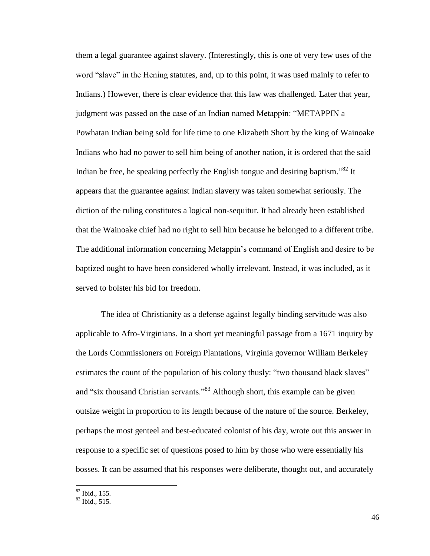them a legal guarantee against slavery. (Interestingly, this is one of very few uses of the word "slave" in the Hening statutes, and, up to this point, it was used mainly to refer to Indians.) However, there is clear evidence that this law was challenged. Later that year, judgment was passed on the case of an Indian named Metappin: "METAPPIN a Powhatan Indian being sold for life time to one Elizabeth Short by the king of Wainoake Indians who had no power to sell him being of another nation, it is ordered that the said Indian be free, he speaking perfectly the English tongue and desiring baptism.<sup>382</sup> It appears that the guarantee against Indian slavery was taken somewhat seriously. The diction of the ruling constitutes a logical non-sequitur. It had already been established that the Wainoake chief had no right to sell him because he belonged to a different tribe. The additional information concerning Metappin's command of English and desire to be baptized ought to have been considered wholly irrelevant. Instead, it was included, as it served to bolster his bid for freedom.

The idea of Christianity as a defense against legally binding servitude was also applicable to Afro-Virginians. In a short yet meaningful passage from a 1671 inquiry by the Lords Commissioners on Foreign Plantations, Virginia governor William Berkeley estimates the count of the population of his colony thusly: "two thousand black slaves" and "six thousand Christian servants."<sup>83</sup> Although short, this example can be given outsize weight in proportion to its length because of the nature of the source. Berkeley, perhaps the most genteel and best-educated colonist of his day, wrote out this answer in response to a specific set of questions posed to him by those who were essentially his bosses. It can be assumed that his responses were deliberate, thought out, and accurately

<sup>82</sup> Ibid., 155.

<sup>83</sup> Ibid., 515.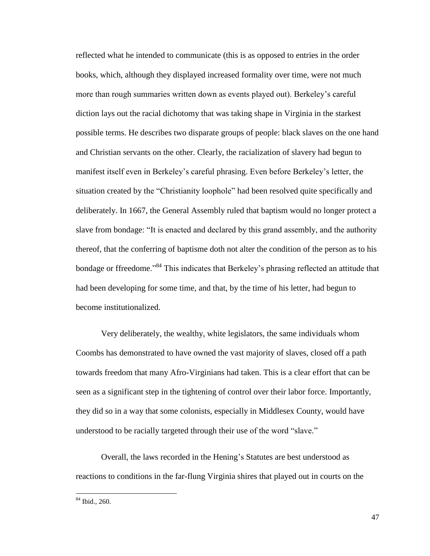reflected what he intended to communicate (this is as opposed to entries in the order books, which, although they displayed increased formality over time, were not much more than rough summaries written down as events played out). Berkeley's careful diction lays out the racial dichotomy that was taking shape in Virginia in the starkest possible terms. He describes two disparate groups of people: black slaves on the one hand and Christian servants on the other. Clearly, the racialization of slavery had begun to manifest itself even in Berkeley's careful phrasing. Even before Berkeley's letter, the situation created by the "Christianity loophole" had been resolved quite specifically and deliberately. In 1667, the General Assembly ruled that baptism would no longer protect a slave from bondage: "It is enacted and declared by this grand assembly, and the authority thereof, that the conferring of baptisme doth not alter the condition of the person as to his bondage or ffreedome."<sup>84</sup> This indicates that Berkeley's phrasing reflected an attitude that had been developing for some time, and that, by the time of his letter, had begun to become institutionalized.

Very deliberately, the wealthy, white legislators, the same individuals whom Coombs has demonstrated to have owned the vast majority of slaves, closed off a path towards freedom that many Afro-Virginians had taken. This is a clear effort that can be seen as a significant step in the tightening of control over their labor force. Importantly, they did so in a way that some colonists, especially in Middlesex County, would have understood to be racially targeted through their use of the word "slave."

Overall, the laws recorded in the Hening's Statutes are best understood as reactions to conditions in the far-flung Virginia shires that played out in courts on the

<sup>84</sup> Ibid., 260.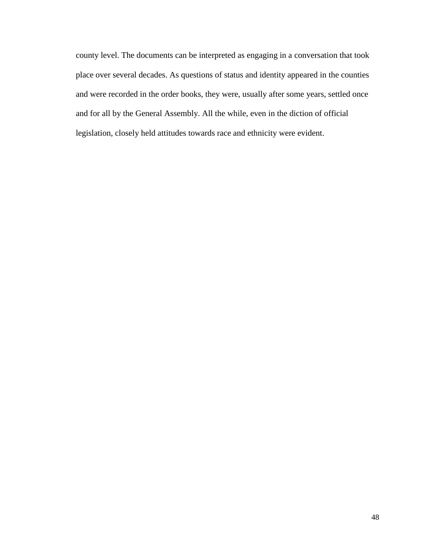county level. The documents can be interpreted as engaging in a conversation that took place over several decades. As questions of status and identity appeared in the counties and were recorded in the order books, they were, usually after some years, settled once and for all by the General Assembly. All the while, even in the diction of official legislation, closely held attitudes towards race and ethnicity were evident.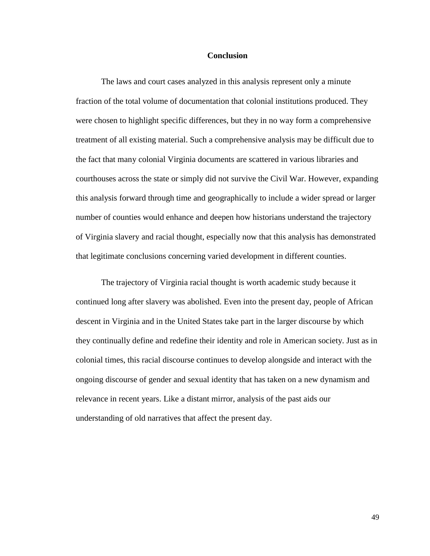#### **Conclusion**

The laws and court cases analyzed in this analysis represent only a minute fraction of the total volume of documentation that colonial institutions produced. They were chosen to highlight specific differences, but they in no way form a comprehensive treatment of all existing material. Such a comprehensive analysis may be difficult due to the fact that many colonial Virginia documents are scattered in various libraries and courthouses across the state or simply did not survive the Civil War. However, expanding this analysis forward through time and geographically to include a wider spread or larger number of counties would enhance and deepen how historians understand the trajectory of Virginia slavery and racial thought, especially now that this analysis has demonstrated that legitimate conclusions concerning varied development in different counties.

The trajectory of Virginia racial thought is worth academic study because it continued long after slavery was abolished. Even into the present day, people of African descent in Virginia and in the United States take part in the larger discourse by which they continually define and redefine their identity and role in American society. Just as in colonial times, this racial discourse continues to develop alongside and interact with the ongoing discourse of gender and sexual identity that has taken on a new dynamism and relevance in recent years. Like a distant mirror, analysis of the past aids our understanding of old narratives that affect the present day.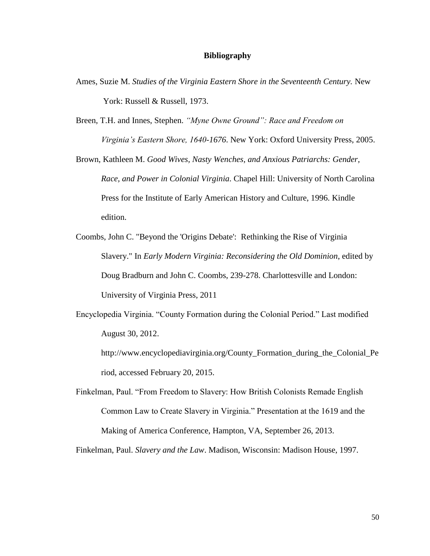#### **Bibliography**

- Ames, Suzie M. *Studies of the Virginia Eastern Shore in the Seventeenth Century.* New York: Russell & Russell, 1973.
- Breen, T.H. and Innes, Stephen. *"Myne Owne Ground": Race and Freedom on Virginia's Eastern Shore, 1640-1676*. New York: Oxford University Press, 2005.
- Brown, Kathleen M. *Good Wives, Nasty Wenches, and Anxious Patriarchs: Gender, Race, and Power in Colonial Virginia*. Chapel Hill: University of North Carolina Press for the Institute of Early American History and Culture, 1996. Kindle edition.
- Coombs, John C. "Beyond the 'Origins Debate': Rethinking the Rise of Virginia Slavery." In *Early Modern Virginia: Reconsidering the Old Dominion*, edited by Doug Bradburn and John C. Coombs, 239-278. Charlottesville and London: University of Virginia Press, 2011
- Encyclopedia Virginia. "County Formation during the Colonial Period." Last modified August 30, 2012.

http://www.encyclopediavirginia.org/County\_Formation\_during\_the\_Colonial\_Pe riod, accessed February 20, 2015.

Finkelman, Paul. "From Freedom to Slavery: How British Colonists Remade English Common Law to Create Slavery in Virginia." Presentation at the 1619 and the Making of America Conference, Hampton, VA, September 26, 2013.

Finkelman, Paul. *Slavery and the Law*. Madison, Wisconsin: Madison House, 1997.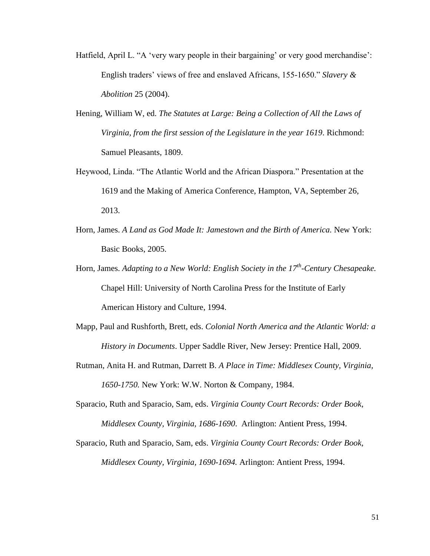- Hatfield, April L. "A 'very wary people in their bargaining' or very good merchandise': English traders' views of free and enslaved Africans, 155-1650." *Slavery & Abolition* 25 (2004).
- Hening, William W, ed. *The Statutes at Large: Being a Collection of All the Laws of Virginia, from the first session of the Legislature in the year 1619*. Richmond: Samuel Pleasants, 1809.
- Heywood, Linda. "The Atlantic World and the African Diaspora." Presentation at the 1619 and the Making of America Conference, Hampton, VA, September 26, 2013.
- Horn, James. *A Land as God Made It: Jamestown and the Birth of America*. New York: Basic Books, 2005.
- Horn, James. *Adapting to a New World: English Society in the 17th -Century Chesapeake.* Chapel Hill: University of North Carolina Press for the Institute of Early American History and Culture, 1994.
- Mapp, Paul and Rushforth, Brett, eds. *Colonial North America and the Atlantic World: a History in Documents*. Upper Saddle River, New Jersey: Prentice Hall, 2009.
- Rutman, Anita H. and Rutman, Darrett B. *A Place in Time: Middlesex County, Virginia, 1650-1750.* New York: W.W. Norton & Company, 1984.
- Sparacio, Ruth and Sparacio, Sam, eds. *Virginia County Court Records: Order Book, Middlesex County, Virginia, 1686-1690*. Arlington: Antient Press, 1994.
- Sparacio, Ruth and Sparacio, Sam, eds. *Virginia County Court Records: Order Book, Middlesex County, Virginia, 1690-1694.* Arlington: Antient Press, 1994.